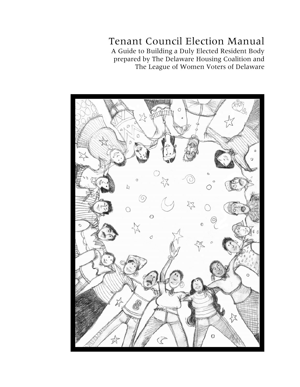Tenant Council Election Manual A Guide to Building a Duly Elected Resident Body prepared by The Delaware Housing Coalition and The League of Women Voters of Delaware

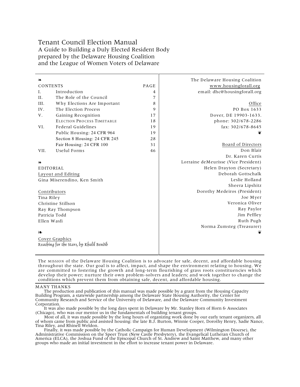### Tenant Council Election Manual A Guide to Building a Duly Elected Resident Body prepared by the Delaware Housing Coalition and the League of Women Voters of Delaware

| èe.                |                                          |      | The Delaware Housing Coalition       |
|--------------------|------------------------------------------|------|--------------------------------------|
| CONTENTS           |                                          | PAGE | www.housingforall.org                |
| I.                 | Introduction                             | 4    | email: dhc@housingforall.org         |
| II.                | The Role of the Council                  |      |                                      |
| III.               | Why Elections Are Important              | 8    | Office                               |
| IV.                | The Election Process                     | 9    | PO Box 1633                          |
| V.                 | Gaining Recognition                      | 17   | Dover, DE 19903-1633.                |
|                    | <b>ELECTION PROCESS TIMETABLE</b>        | 18   | phone: 302/678-2286                  |
| VI.                | Federal Guidelines                       | 19   | fax: 302/678-8645                    |
|                    | Public Housing: 24 CFR 964               | 19   |                                      |
|                    | Section 8 Housing: 24 CFR 245            | 28   |                                      |
|                    | Fair Housing: 24 CFR 100                 | 31   | Board of Directors                   |
| VII.               | Useful Forms                             | 46   | Don Blair                            |
|                    |                                          |      | Dr. Karen Curtis                     |
| èo.                |                                          |      | Lorraine deMeurisse (Vice President) |
| EDITORIAL          |                                          |      | Helen Drayton (Secretary)            |
| Layout and Editing |                                          |      | Deborah Gottschalk                   |
|                    | Gina Miserendino, Ken Smith              |      | Leslie Holland                       |
|                    |                                          |      | Sheera Lipshitz                      |
| Contributors       |                                          |      | Dorothy Medeiros (President)         |
| Tina Riley         |                                          |      | Joe Myer                             |
| Christine Stillson |                                          |      | Veronica Oliver                      |
|                    | Ray Ray Thompson                         |      | Ray Paylor                           |
| Patricia Todd      |                                          |      | Jim Peffley                          |
| Ellen Wasfi        |                                          |      | Ruth Pugh                            |
|                    |                                          |      | Norma Zumsteg (Treasurer)            |
| èL                 |                                          |      |                                      |
|                    | Cover Graphics                           |      |                                      |
|                    | Reaching for the Stars, by Khalil Bendib |      |                                      |
|                    |                                          |      |                                      |

The MISSION of the Delaware Housing Coalition is to advocate for safe, decent, and affordable housing throughout the state. Our goal is to affect, impact, and shape the environment relating to housing. We are committed to fostering the growth and long-term flourishing of grass roots constituencies which develop their power; nurture their own problem-solvers and leaders; and work together to change the conditions which prevent them from obtaining safe, decent, and affordable housing.

#### MANY THANKS

The production and publication of this manual was made possible by a grant from the Housing Capacity Building Program, a statewide partnership among the Delaware State Housing Authority, the Center for Community Research and Service of the University of Delaware, and the Delaware Community Investment Corporation.

It was also made possible by the long days spent in Delaware by Mr. Stanley Horn of Horn & Associates (Chicago), who was our mentor us in the fundamentals of building tenant groups.

Most of all, it was made possible by the long hours of organizing work done by our early tenant organizers, all of whom came from public and assisted housing: the late B.J. Burton, Winnie Cooper, Dorothy Henry, Sadie Nance, Tina Riley, and Rhinell Weldon.

Finally, it was made possible by the Catholic Campaign for Human Development (Wilmington Diocese), the Administrative Commission on the Speer Trust (New Castle Presbytery), the Evangelical Lutheran Church of America (ELCA), the Joshua Fund of the Episcopal Church of St. Andrew and Saint Matthew, and many other groups who made an initial investment in the effort to increase tenant power in Delaware.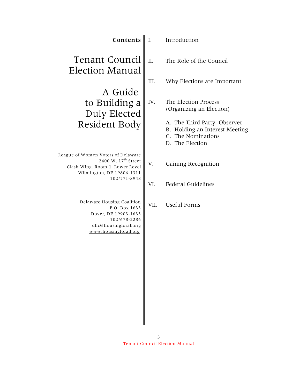| Contents                                                                                                                                              | I.        | Introduction                                                                                                                                                                              |
|-------------------------------------------------------------------------------------------------------------------------------------------------------|-----------|-------------------------------------------------------------------------------------------------------------------------------------------------------------------------------------------|
| Tenant Council<br><b>Election Manual</b>                                                                                                              | Π.        | The Role of the Council                                                                                                                                                                   |
| A Guide<br>to Building a<br><b>Duly Elected</b><br>Resident Body                                                                                      | Ш.<br>IV. | Why Elections are Important<br>The Election Process<br>(Organizing an Election)<br>A. The Third Party Observer<br>B. Holding an Interest Meeting<br>C. The Nominations<br>D. The Election |
| League of Women Voters of Delaware<br>2400 W. 17 <sup>th</sup> Street<br>Clash Wing, Room 1, Lower Level<br>Wilmington, DE 19806-1311<br>302/571-8948 | V.<br>VI. | <b>Gaining Recognition</b><br><b>Federal Guidelines</b>                                                                                                                                   |
| Delaware Housing Coalition<br>P.O. Box 1633<br>Dover, DE 19903-1633<br>302/678-2286<br>dhc@housingforall.org<br>www.housingforall.org                 | VII.      | <b>Useful Forms</b>                                                                                                                                                                       |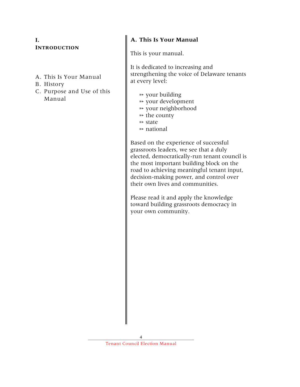### **I. INTRODUCTION**

- A. This Is Your Manual
- B. History
- C. Purpose and Use of this Manual

### **A. This Is Your Manual**

This is your manual.

It is dedicated to increasing and strengthening the voice of Delaware tenants at every level:

- ¾ your building
- ¾ your development
- ¾ your neighborhood
- $∗$  the county
- $\rightarrow$  state
- ¾ national

Based on the experience of successful grassroots leaders, we see that a duly elected, democratically-run tenant council is the most important building block on the road to achieving meaningful tenant input, decision-making power, and control over their own lives and communities.

Please read it and apply the knowledge toward building grassroots democracy in your own community.

4 Tenant Council Election Manual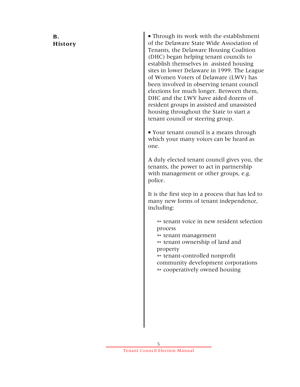**B. History** **Frough its work with the establishment** of the Delaware State Wide Association of Tenants, the Delaware Housing Coalition (DHC) began helping tenant councils to establish themselves in assisted housing sites in lower Delaware in 1999. The League of Women Voters of Delaware (LWV) has been involved in observing tenant council elections for much longer. Between them, DHC and the LWV have aided dozens of resident groups in assisted and unassisted housing throughout the State to start a tenant council or steering group.

P Your tenant council is a means through which your many voices can be heard as one.

A duly elected tenant council gives you, the tenants, the power to act in partnership with management or other groups, e.g. police.

It is the first step in a process that has led to many new forms of tenant independence, including:

- ¾ tenant voice in new resident selection process
- $\rightarrow$  tenant management
- $\rightarrow$  tenant ownership of land and property
- 
- ¾ tenant-controlled nonprofit community development corporations
- ¾ cooperatively owned housing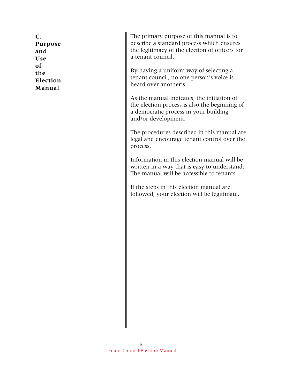**C. Purpose and Use of the Election Manual**

The primary purpose of this manual is to describe a standard process which ensures the legitimacy of the election of officers for a tenant council.

By having a uniform way of selecting a tenant council, no one person's voice is heard over another's.

As the manual indicates, the initiation of the election process is also the beginning of a democratic process in your building and/or development.

The procedures described in this manual are legal and encourage tenant control over the process.

Information in this election manual will be written in a way that is easy to understand. The manual will be accessible to tenants.

If the steps in this election manual are followed, your election will be legitimate.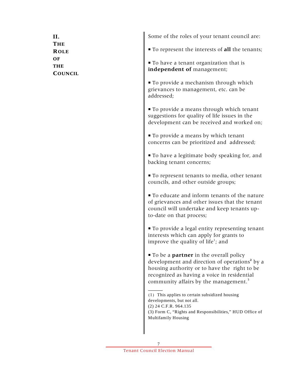| II.                                | Some of the roles of your tenant council are:                                                                                                                                                                                                          |
|------------------------------------|--------------------------------------------------------------------------------------------------------------------------------------------------------------------------------------------------------------------------------------------------------|
| <b>THE</b><br><b>ROLE</b>          | ■ To represent the interests of all the tenants;                                                                                                                                                                                                       |
| OF<br><b>THE</b><br><b>COUNCIL</b> | To have a tenant organization that is<br>independent of management;                                                                                                                                                                                    |
|                                    | ■ To provide a mechanism through which<br>grievances to management, etc. can be<br>addressed;                                                                                                                                                          |
|                                    | ■ To provide a means through which tenant<br>suggestions for quality of life issues in the<br>development can be received and worked on;                                                                                                               |
|                                    | ■ To provide a means by which tenant<br>concerns can be prioritized and addressed;                                                                                                                                                                     |
|                                    | ■ To have a legitimate body speaking for, and<br>backing tenant concerns;                                                                                                                                                                              |
|                                    | ■ To represent tenants to media, other tenant<br>councils, and other outside groups;                                                                                                                                                                   |
|                                    | To educate and inform tenants of the nature<br>of grievances and other issues that the tenant<br>council will undertake and keep tenants up-<br>to-date on that process;                                                                               |
|                                    | To provide a legal entity representing tenant<br>interests which can apply for grants to<br>improve the quality of life <sup>1</sup> ; and                                                                                                             |
|                                    | To be a partner in the overall policy<br>development and direction of operations <sup>2</sup> by a<br>housing authority or to have the right to be<br>recognized as having a voice in residential<br>community affairs by the management. <sup>3</sup> |
|                                    | (1) This applies to certain subsidized housing<br>developments, but not all.<br>(2) 24 C.F.R. 964.135<br>(3) Form C, "Rights and Responsibilities," HUD Office of<br>Multifamily Housing                                                               |
|                                    |                                                                                                                                                                                                                                                        |

 $\overline{a}$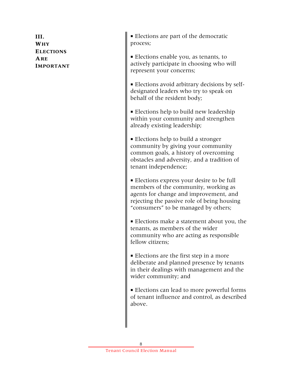**III. WHY ELECTIONS ARE IMPORTANT**

**Elections are part of the democratic** process;

P Elections enable you, as tenants, to actively participate in choosing who will represent your concerns;

**Elections avoid arbitrary decisions by self**designated leaders who try to speak on behalf of the resident body;

**Elections help to build new leadership** within your community and strengthen already existing leadership;

 $\blacksquare$  Elections help to build a stronger community by giving your community common goals, a history of overcoming obstacles and adversity, and a tradition of tenant independence;

**Elections express your desire to be full** members of the community, working as agents for change and improvement, and rejecting the passive role of being housing "consumers" to be managed by others;

**Elections make a statement about you, the** tenants, as members of the wider community who are acting as responsible fellow citizens;

 $\blacksquare$  Elections are the first step in a more deliberate and planned presence by tenants in their dealings with management and the wider community; and

**Elections can lead to more powerful forms** of tenant influence and control, as described above.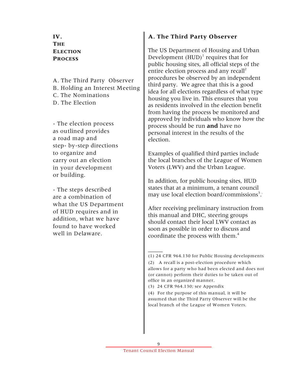**IV. THE ELECTION PROCESS**

A. The Third Party Observer B. Holding an Interest Meeting C. The Nominations D. The Election

- The election process as outlined provides a road map and step- by-step directions to organize and carry out an election in your development or building.

- The steps described are a combination of what the US Department of HUD requires and in addition, what we have found to have worked well in Delaware.

### **A. The Third Party Observer**

The US Department of Housing and Urban Development  $(HUD)^1$  requires that for public housing sites, all official steps of the entire election process and any recall<sup>2</sup> procedures be observed by an independent third party. We agree that this is a good idea for all elections regardless of what type housing you live in. This ensures that you as residents involved in the election benefit from having the process be monitored and approved by individuals who know how the process should be run **and** have no personal interest in the results of the election.

Examples of qualified third parties include the local branches of the League of Women Voters (LWV) and the Urban League.

In addition, for public housing sites, HUD states that at a minimum, a tenant council may use local election board/commissions<sup>3</sup>.

After receiving preliminary instruction from this manual and DHC, steering groups should contact their local LWV contact as soon as possible in order to discuss and coordinate the process with them.<sup>4</sup>

(1) 24 CFR 964.130 for Public Housing developments (2) A recall is a post-election procedure which allows for a party who had been elected and does not (or cannot) perform their duties to be taken out of office in an organized manner.

(3) 24 CFR 964.130; see Appendix

(4) For the purpose of this manual, it will be assumed that the Third Party Observer will be the local branch of the League of Women Voters.

\_\_\_\_\_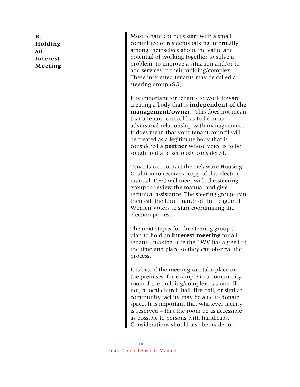**B. Holding an Interest Meeting**

Most tenant councils start with a small committee of residents talking informally among themselves about the value and potential of working together to solve a problem, to improve a situation and/or to add services in their building/complex. These interested tenants may be called a steering group (SG).

It is important for tenants to work toward creating a body that is **independent of the management/owner.** This does not mean that a tenant council has to be in an adversarial relationship with management . It does mean that your tenant council will be treated as a legitimate body that is considered a **partner** whose voice is to be sought out and seriously considered.

Tenants can contact the Delaware Housing Coalition to receive a copy of this election manual. DHC will meet with the steering group to review the manual and give technical assistance. The steering groups can then call the local branch of the League of Women Voters to start coordinating the election process.

The next step is for the steering group to plan to hold an **interest meeting** for all tenants, making sure the LWV has agreed to the time and place so they can observe the process.

It is best if the meeting can take place on the premises, for example in a community room if the building/complex has one. If not, a local church hall, fire hall, or similar community facility may be able to donate space. It is important that whatever facility is reserved – that the room be as accessible as possible to persons with handicaps. Considerations should also be made for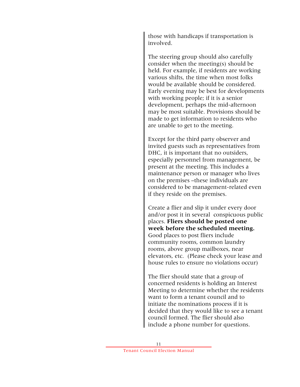those with handicaps if transportation is involved.

The steering group should also carefully consider when the meeting(s) should be held. For example, if residents are working various shifts, the time when most folks would be available should be considered. Early evening may be best for developments with working people; if it is a senior development, perhaps the mid-afternoon may be most suitable. Provisions should be made to get information to residents who are unable to get to the meeting.

Except for the third party observer and invited guests such as representatives from DHC, it is important that no outsiders, especially personnel from management, be present at the meeting. This includes a maintenance person or manager who lives on the premises –these individuals are considered to be management-related even if they reside on the premises.

Create a flier and slip it under every door and/or post it in several conspicuous public places. **Fliers should be posted one week before the scheduled meeting.**  Good places to post fliers include community rooms, common laundry rooms, above group mailboxes, near elevators, etc. (Please check your lease and house rules to ensure no violations occur)

The flier should state that a group of concerned residents is holding an Interest Meeting to determine whether the residents want to form a tenant council and to initiate the nominations process if it is decided that they would like to see a tenant council formed. The flier should also include a phone number for questions.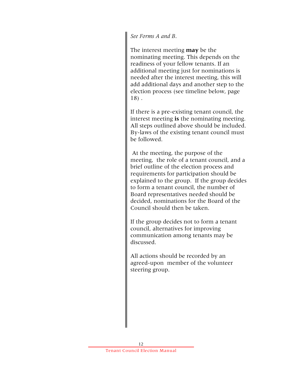*See Forms A and B*.

The interest meeting **may** be the nominating meeting. This depends on the readiness of your fellow tenants. If an additional meeting just for nominations is needed after the interest meeting, this will add additional days and another step to the election process (see timeline below, page 18) .

If there is a pre-existing tenant council, the interest meeting **is** the nominating meeting. All steps outlined above should be included. By-laws of the existing tenant council must be followed.

 At the meeting, the purpose of the meeting, the role of a tenant council, and a brief outline of the election process and requirements for participation should be explained to the group. If the group decides to form a tenant council, the number of Board representatives needed should be decided, nominations for the Board of the Council should then be taken.

If the group decides not to form a tenant council, alternatives for improving communication among tenants may be discussed.

All actions should be recorded by an agreed-upon member of the volunteer steering group.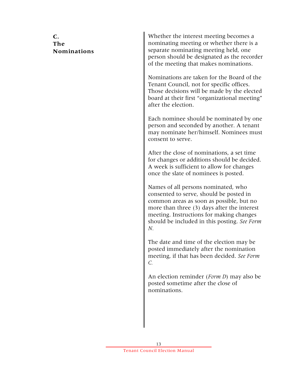**C. The Nominations** Whether the interest meeting becomes a nominating meeting or whether there is a separate nominating meeting held, one person should be designated as the recorder of the meeting that makes nominations.

Nominations are taken for the Board of the Tenant Council, not for specific offices. Those decisions will be made by the elected board at their first "organizational meeting" after the election.

Each nominee should be nominated by one person and seconded by another. A tenant may nominate her/himself. Nominees must consent to serve.

After the close of nominations, a set time for changes or additions should be decided. A week is sufficient to allow for changes once the slate of nominees is posted.

Names of all persons nominated, who consented to serve, should be posted in common areas as soon as possible, but no more than three (3) days after the interest meeting. Instructions for making changes should be included in this posting. *See Form N.*

The date and time of the election may be posted immediately after the nomination meeting, if that has been decided. *See Form C.* 

An election reminder (*Form D*) may also be posted sometime after the close of nominations.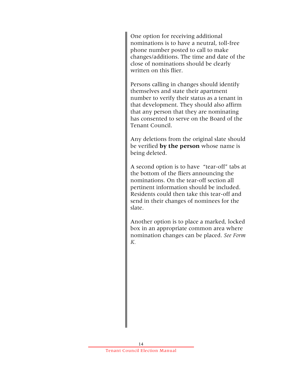One option for receiving additional nominations is to have a neutral, toll-free phone number posted to call to make changes/additions. The time and date of the close of nominations should be clearly written on this flier.

Persons calling in changes should identify themselves and state their apartment number to verify their status as a tenant in that development. They should also affirm that any person that they are nominating has consented to serve on the Board of the Tenant Council.

Any deletions from the original slate should be verified **by the person** whose name is being deleted.

A second option is to have "tear-off" tabs at the bottom of the fliers announcing the nominations. On the tear-off section all pertinent information should be included. Residents could then take this tear-off and send in their changes of nominees for the slate.

Another option is to place a marked, locked box in an appropriate common area where nomination changes can be placed. *See Form K.*

14 Tenant Council Election Manual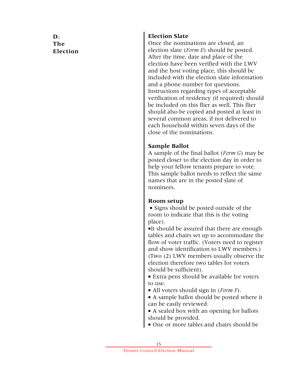**D. The Election**

### **Election Slate**

Once the nominations are closed, an election slate (*Form E*) should be posted. After the time, date and place of the election have been verified with the LWV and the host voting place, this should be included with the election slate information and a phone number for questions. Instructions regarding types of acceptable verification of residency (if required) should be included on this flier as well. This flier should also be copied and posted at least in several common areas, if not delivered to each household within seven days of the close of the nominations.

### **Sample Ballot**

A sample of the final ballot (*Form G*) may be posted closer to the election day in order to help your fellow tenants prepare to vote. This sample ballot needs to reflect the same names that are in the posted slate of nominees.

### **Room setup**

P Signs should be posted outside of the room to indicate that this is the voting place).

It should be assured that there are enough tables and chairs set up to accommodate the flow of voter traffic. (Voters need to register and show identification to LWV members.) (Two (2) LWV members usually observe the election therefore two tables for voters should be sufficient).

■ Extra pens should be available for voters to use.

All voters should sign in (*Form F*).

A sample ballot should be posted where it can be easily reviewed.

A sealed box with an opening for ballots should be provided.

• One or more tables and chairs should be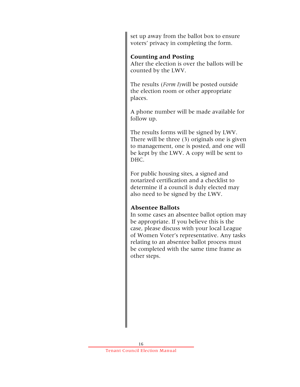set up away from the ballot box to ensure voters' privacy in completing the form.

### **Counting and Posting**

After the election is over the ballots will be counted by the LWV.

The results (*Form I*)will be posted outside the election room or other appropriate places.

A phone number will be made available for follow up.

The results forms will be signed by LWV. There will be three (3) originals one is given to management, one is posted, and one will be kept by the LWV. A copy will be sent to DHC.

For public housing sites, a signed and notarized certification and a checklist to determine if a council is duly elected may also need to be signed by the LWV.

### **Absentee Ballots**

In some cases an absentee ballot option may be appropriate. If you believe this is the case, please discuss with your local League of Women Voter's representative. Any tasks relating to an absentee ballot process must be completed with the same time frame as other steps.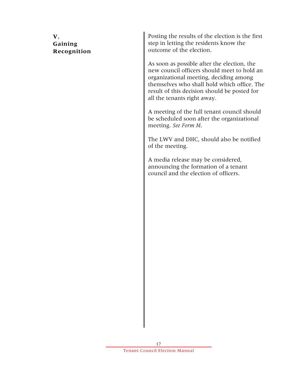**V. Gaining Recognition**

Posting the results of the election is the first step in letting the residents know the outcome of the election.

As soon as possible after the election, the new council officers should meet to hold an organizational meeting, deciding among themselves who shall hold which office. The result of this decision should be posted for all the tenants right away.

A meeting of the full tenant council should be scheduled soon after the organizational meeting. *See Form M*.

The LWV and DHC, should also be notified of the meeting.

A media release may be considered, announcing the formation of a tenant council and the election of officers.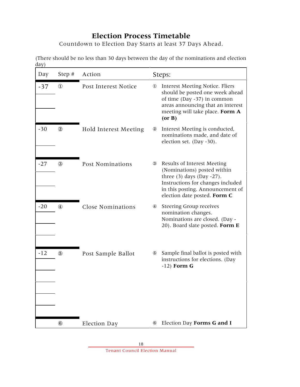### **Election Process Timetable**

Countdown to Election Day Starts at least 37 Days Ahead.

(There should be no less than 30 days between the day of the nominations and election day)

| Day   | Step #         | Action                       |                | Steps:                                                                                                                                                                                                       |
|-------|----------------|------------------------------|----------------|--------------------------------------------------------------------------------------------------------------------------------------------------------------------------------------------------------------|
| $-37$ | $\mathbf{D}$   | Post Interest Notice         | $^{\circledR}$ | <b>Interest Meeting Notice. Fliers</b><br>should be posted one week ahead<br>of time (Day -37) in common<br>areas announcing that an interest<br>meeting will take place. Form A<br>(or B)                   |
| $-30$ | $\circled{2}$  | <b>Hold Interest Meeting</b> | $\circled{2}$  | Interest Meeting is conducted,<br>nominations made, and date of<br>election set. (Day -30).                                                                                                                  |
| $-27$ | $\circled{3}$  | <b>Post Nominations</b>      | $^{\circledR}$ | <b>Results of Interest Meeting</b><br>(Nominations) posted within<br>three $(3)$ days $(Day -27)$ .<br>Instructions for changes included<br>in this posting. Announcement of<br>election date posted. Form C |
| $-20$ | $^{\circledA}$ | Close Nominations            |                | <b>Steering Group receives</b><br>nomination changes.<br>Nominations are closed. (Day -<br>20). Board slate posted. Form E                                                                                   |
| $-12$ | $\circledS$    | Post Sample Ballot           | $^\circledR$   | Sample final ballot is posted with<br>instructions for elections. (Day<br>$-12)$ Form G                                                                                                                      |
|       | $\circledast$  | Election Day                 | $^{\circledR}$ | Election Day Forms G and I                                                                                                                                                                                   |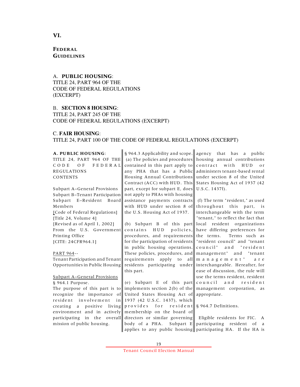### **VI.**

#### **FEDERAL GUIDELINES**

#### A. **PUBLIC HOUSING**:

TITLE 24, PART 964 OF THE CODE OF FEDERAL REGULATIONS (EXCERPT)

### B. **SECTION 8 HOUSING**:

TITLE 24, PART 245 OF THE CODE OF FEDERAL REGULATIONS (EXCERPT)

#### C. **FAIR HOUSING**:

### TITLE 24, PART 100 OF THE CODE OF FEDERAL REGULATIONS (EXCERPT)

| S 964.3 Applicability and scope. agency that has a public<br>TITLE 24, PART 964 OF THE (a) The policies and procedures housing annual contributions<br>$FEDERAL$ contained in this part apply to contract with<br>O F<br>HUD<br>o r<br>any PHA that has a Public administers tenant-based rental<br>Housing Annual Contributions under section 8 of the United<br>Contract (ACC) with HUD. This States Housing Act of 1937 (42<br>part, except for subpart E, does U.S.C. 1437f).<br>not apply to PHAs with housing<br>assistance payments contracts<br>(f) The term "resident," as used<br>with HUD under section 8 of throughout this part, is<br>the U.S. Housing Act of 1937.<br>interchangeable with the term<br>[Title 24, Volume 4]<br>"tenant," to reflect the fact that<br>[Revised as of April 1, 2002]<br>(b) Subpart B of this part local resident organizations<br>policies, have differing preferences for<br>contains<br>HUD<br>procedures, and requirements the terms.<br>Terms such as<br>for the participation of residents resident council" and "tenant<br>in public housing operations. council" and "resident<br>These policies, procedures, and management" and "tenant"<br>Tenant Participation and Tenant requirements apply to<br>all management"<br>a r e<br>Opportunities in Public Housing residents participating under interchangeable. Hereafter, for<br>ease of discussion, the rule will<br>this part.<br>use the terms resident, resident<br>(e) Subpart $E$ of this part council<br>and<br>resident<br>The purpose of this part is to implements section $2(b)$ of the management corporation,<br>as<br>recognize the importance of United States Housing Act of appropriate.<br>in 1937 (42 U.S.C. 1437), which<br>involvement<br>positive living provides for resident § 964.7 Definitions.<br>a<br>environment and in actively membership on the board of |                                |  |
|--------------------------------------------------------------------------------------------------------------------------------------------------------------------------------------------------------------------------------------------------------------------------------------------------------------------------------------------------------------------------------------------------------------------------------------------------------------------------------------------------------------------------------------------------------------------------------------------------------------------------------------------------------------------------------------------------------------------------------------------------------------------------------------------------------------------------------------------------------------------------------------------------------------------------------------------------------------------------------------------------------------------------------------------------------------------------------------------------------------------------------------------------------------------------------------------------------------------------------------------------------------------------------------------------------------------------------------------------------------------------------------------------------------------------------------------------------------------------------------------------------------------------------------------------------------------------------------------------------------------------------------------------------------------------------------------------------------------------------------------------------------------------------------------------------------------------------------------------------------------------------------------------|--------------------------------|--|
|                                                                                                                                                                                                                                                                                                                                                                                                                                                                                                                                                                                                                                                                                                                                                                                                                                                                                                                                                                                                                                                                                                                                                                                                                                                                                                                                                                                                                                                                                                                                                                                                                                                                                                                                                                                                                                                                                                  | A. PUBLIC HOUSING:             |  |
|                                                                                                                                                                                                                                                                                                                                                                                                                                                                                                                                                                                                                                                                                                                                                                                                                                                                                                                                                                                                                                                                                                                                                                                                                                                                                                                                                                                                                                                                                                                                                                                                                                                                                                                                                                                                                                                                                                  |                                |  |
|                                                                                                                                                                                                                                                                                                                                                                                                                                                                                                                                                                                                                                                                                                                                                                                                                                                                                                                                                                                                                                                                                                                                                                                                                                                                                                                                                                                                                                                                                                                                                                                                                                                                                                                                                                                                                                                                                                  | CODE                           |  |
|                                                                                                                                                                                                                                                                                                                                                                                                                                                                                                                                                                                                                                                                                                                                                                                                                                                                                                                                                                                                                                                                                                                                                                                                                                                                                                                                                                                                                                                                                                                                                                                                                                                                                                                                                                                                                                                                                                  | <b>REGULATIONS</b>             |  |
|                                                                                                                                                                                                                                                                                                                                                                                                                                                                                                                                                                                                                                                                                                                                                                                                                                                                                                                                                                                                                                                                                                                                                                                                                                                                                                                                                                                                                                                                                                                                                                                                                                                                                                                                                                                                                                                                                                  | <b>CONTENTS</b>                |  |
|                                                                                                                                                                                                                                                                                                                                                                                                                                                                                                                                                                                                                                                                                                                                                                                                                                                                                                                                                                                                                                                                                                                                                                                                                                                                                                                                                                                                                                                                                                                                                                                                                                                                                                                                                                                                                                                                                                  |                                |  |
|                                                                                                                                                                                                                                                                                                                                                                                                                                                                                                                                                                                                                                                                                                                                                                                                                                                                                                                                                                                                                                                                                                                                                                                                                                                                                                                                                                                                                                                                                                                                                                                                                                                                                                                                                                                                                                                                                                  | Subpart A-General Provisions   |  |
|                                                                                                                                                                                                                                                                                                                                                                                                                                                                                                                                                                                                                                                                                                                                                                                                                                                                                                                                                                                                                                                                                                                                                                                                                                                                                                                                                                                                                                                                                                                                                                                                                                                                                                                                                                                                                                                                                                  | Subpart B-Tenant Participation |  |
|                                                                                                                                                                                                                                                                                                                                                                                                                                                                                                                                                                                                                                                                                                                                                                                                                                                                                                                                                                                                                                                                                                                                                                                                                                                                                                                                                                                                                                                                                                                                                                                                                                                                                                                                                                                                                                                                                                  | Subpart E-Resident Board       |  |
|                                                                                                                                                                                                                                                                                                                                                                                                                                                                                                                                                                                                                                                                                                                                                                                                                                                                                                                                                                                                                                                                                                                                                                                                                                                                                                                                                                                                                                                                                                                                                                                                                                                                                                                                                                                                                                                                                                  | Members                        |  |
|                                                                                                                                                                                                                                                                                                                                                                                                                                                                                                                                                                                                                                                                                                                                                                                                                                                                                                                                                                                                                                                                                                                                                                                                                                                                                                                                                                                                                                                                                                                                                                                                                                                                                                                                                                                                                                                                                                  | [Code of Federal Regulations]  |  |
|                                                                                                                                                                                                                                                                                                                                                                                                                                                                                                                                                                                                                                                                                                                                                                                                                                                                                                                                                                                                                                                                                                                                                                                                                                                                                                                                                                                                                                                                                                                                                                                                                                                                                                                                                                                                                                                                                                  |                                |  |
|                                                                                                                                                                                                                                                                                                                                                                                                                                                                                                                                                                                                                                                                                                                                                                                                                                                                                                                                                                                                                                                                                                                                                                                                                                                                                                                                                                                                                                                                                                                                                                                                                                                                                                                                                                                                                                                                                                  |                                |  |
|                                                                                                                                                                                                                                                                                                                                                                                                                                                                                                                                                                                                                                                                                                                                                                                                                                                                                                                                                                                                                                                                                                                                                                                                                                                                                                                                                                                                                                                                                                                                                                                                                                                                                                                                                                                                                                                                                                  | From the U.S. Government       |  |
|                                                                                                                                                                                                                                                                                                                                                                                                                                                                                                                                                                                                                                                                                                                                                                                                                                                                                                                                                                                                                                                                                                                                                                                                                                                                                                                                                                                                                                                                                                                                                                                                                                                                                                                                                                                                                                                                                                  | Printing Office                |  |
|                                                                                                                                                                                                                                                                                                                                                                                                                                                                                                                                                                                                                                                                                                                                                                                                                                                                                                                                                                                                                                                                                                                                                                                                                                                                                                                                                                                                                                                                                                                                                                                                                                                                                                                                                                                                                                                                                                  | [CITE: 24CFR964.1]             |  |
|                                                                                                                                                                                                                                                                                                                                                                                                                                                                                                                                                                                                                                                                                                                                                                                                                                                                                                                                                                                                                                                                                                                                                                                                                                                                                                                                                                                                                                                                                                                                                                                                                                                                                                                                                                                                                                                                                                  |                                |  |
|                                                                                                                                                                                                                                                                                                                                                                                                                                                                                                                                                                                                                                                                                                                                                                                                                                                                                                                                                                                                                                                                                                                                                                                                                                                                                                                                                                                                                                                                                                                                                                                                                                                                                                                                                                                                                                                                                                  | PART 964--                     |  |
|                                                                                                                                                                                                                                                                                                                                                                                                                                                                                                                                                                                                                                                                                                                                                                                                                                                                                                                                                                                                                                                                                                                                                                                                                                                                                                                                                                                                                                                                                                                                                                                                                                                                                                                                                                                                                                                                                                  |                                |  |
|                                                                                                                                                                                                                                                                                                                                                                                                                                                                                                                                                                                                                                                                                                                                                                                                                                                                                                                                                                                                                                                                                                                                                                                                                                                                                                                                                                                                                                                                                                                                                                                                                                                                                                                                                                                                                                                                                                  |                                |  |
|                                                                                                                                                                                                                                                                                                                                                                                                                                                                                                                                                                                                                                                                                                                                                                                                                                                                                                                                                                                                                                                                                                                                                                                                                                                                                                                                                                                                                                                                                                                                                                                                                                                                                                                                                                                                                                                                                                  |                                |  |
|                                                                                                                                                                                                                                                                                                                                                                                                                                                                                                                                                                                                                                                                                                                                                                                                                                                                                                                                                                                                                                                                                                                                                                                                                                                                                                                                                                                                                                                                                                                                                                                                                                                                                                                                                                                                                                                                                                  | Subpart A-General Provisions   |  |
|                                                                                                                                                                                                                                                                                                                                                                                                                                                                                                                                                                                                                                                                                                                                                                                                                                                                                                                                                                                                                                                                                                                                                                                                                                                                                                                                                                                                                                                                                                                                                                                                                                                                                                                                                                                                                                                                                                  | § 964.1 Purpose.               |  |
|                                                                                                                                                                                                                                                                                                                                                                                                                                                                                                                                                                                                                                                                                                                                                                                                                                                                                                                                                                                                                                                                                                                                                                                                                                                                                                                                                                                                                                                                                                                                                                                                                                                                                                                                                                                                                                                                                                  |                                |  |
|                                                                                                                                                                                                                                                                                                                                                                                                                                                                                                                                                                                                                                                                                                                                                                                                                                                                                                                                                                                                                                                                                                                                                                                                                                                                                                                                                                                                                                                                                                                                                                                                                                                                                                                                                                                                                                                                                                  |                                |  |
|                                                                                                                                                                                                                                                                                                                                                                                                                                                                                                                                                                                                                                                                                                                                                                                                                                                                                                                                                                                                                                                                                                                                                                                                                                                                                                                                                                                                                                                                                                                                                                                                                                                                                                                                                                                                                                                                                                  | resident                       |  |
|                                                                                                                                                                                                                                                                                                                                                                                                                                                                                                                                                                                                                                                                                                                                                                                                                                                                                                                                                                                                                                                                                                                                                                                                                                                                                                                                                                                                                                                                                                                                                                                                                                                                                                                                                                                                                                                                                                  | creating                       |  |
|                                                                                                                                                                                                                                                                                                                                                                                                                                                                                                                                                                                                                                                                                                                                                                                                                                                                                                                                                                                                                                                                                                                                                                                                                                                                                                                                                                                                                                                                                                                                                                                                                                                                                                                                                                                                                                                                                                  |                                |  |
| overall directors or similar governing<br>in the<br>Eligible residents for FIC.<br>A                                                                                                                                                                                                                                                                                                                                                                                                                                                                                                                                                                                                                                                                                                                                                                                                                                                                                                                                                                                                                                                                                                                                                                                                                                                                                                                                                                                                                                                                                                                                                                                                                                                                                                                                                                                                             | participating                  |  |
| body of a PHA. Subpart E participating resident<br>of<br>a                                                                                                                                                                                                                                                                                                                                                                                                                                                                                                                                                                                                                                                                                                                                                                                                                                                                                                                                                                                                                                                                                                                                                                                                                                                                                                                                                                                                                                                                                                                                                                                                                                                                                                                                                                                                                                       | mission of public housing.     |  |
| applies to any public housing participating HA. If the HA is                                                                                                                                                                                                                                                                                                                                                                                                                                                                                                                                                                                                                                                                                                                                                                                                                                                                                                                                                                                                                                                                                                                                                                                                                                                                                                                                                                                                                                                                                                                                                                                                                                                                                                                                                                                                                                     |                                |  |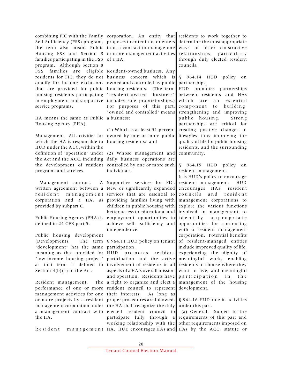| families participating in the FSS of a HA.<br>program. Although Section 8 | combining FIC with the Family corporation. An entity that residents to work together to<br>Self-Sufficiency (FSS) program, proposes to enter into, or enters determine the most appropriate<br>the term also means Public into, a contract to manage one ways to foster constructive<br>Housing FSS and Section 8 or more management activities relationships, | particularly<br>through duly elected resident<br>councils.                               |
|---------------------------------------------------------------------------|----------------------------------------------------------------------------------------------------------------------------------------------------------------------------------------------------------------------------------------------------------------------------------------------------------------------------------------------------------------|------------------------------------------------------------------------------------------|
| families<br>FSS<br>are<br>residents for FIC, they do not business         | eligible Resident-owned business. Any<br>which<br>concern<br>is §                                                                                                                                                                                                                                                                                              | 964.14<br>policy<br>HUD<br>on                                                            |
| qualify for income exclusions                                             | owned and controlled by public partnerships.                                                                                                                                                                                                                                                                                                                   |                                                                                          |
| that are provided for public housing residents.                           | (The term HUD                                                                                                                                                                                                                                                                                                                                                  | promotes<br>partnerships                                                                 |
| housing residents participating resident-owned                            | business"                                                                                                                                                                                                                                                                                                                                                      | between residents<br>and HAs                                                             |
|                                                                           | in employment and supportive includes sole proprietorships.)                                                                                                                                                                                                                                                                                                   | which<br>essential<br>are<br>a n                                                         |
| service programs.                                                         | For purposes of this<br>part,                                                                                                                                                                                                                                                                                                                                  | component<br>t o<br>building,                                                            |
| HA means the same as Public                                               | a business:                                                                                                                                                                                                                                                                                                                                                    | "owned and controlled" means strengthening and improving<br>public<br>housing.<br>Strong |
| Housing Agency (PHA).                                                     |                                                                                                                                                                                                                                                                                                                                                                | partnerships are<br>critical for                                                         |
|                                                                           | (1) Which is at least 51 percent                                                                                                                                                                                                                                                                                                                               | creating positive changes in                                                             |
| Management. All activities for                                            | owned by one or more public lifestyles thus improving the                                                                                                                                                                                                                                                                                                      |                                                                                          |
| which the HA is responsible to housing residents; and                     |                                                                                                                                                                                                                                                                                                                                                                | quality of life for public housing                                                       |
| HUD under the ACC, within the                                             |                                                                                                                                                                                                                                                                                                                                                                | residents, and the surrounding                                                           |
| definition of "operation" under                                           | (2) Whose management and community.                                                                                                                                                                                                                                                                                                                            |                                                                                          |
| the Act and the ACC, including                                            | daily business operations are                                                                                                                                                                                                                                                                                                                                  |                                                                                          |
| the development of resident<br>programs and services.                     | controlled by one or more such<br>individuals.                                                                                                                                                                                                                                                                                                                 | S<br>964.15<br>HUD<br>policy<br>on<br>resident management.                               |
|                                                                           |                                                                                                                                                                                                                                                                                                                                                                | It is HUD's policy to encourage                                                          |
| Management contract.<br>Α                                                 | Supportive services for FIC.                                                                                                                                                                                                                                                                                                                                   | resident management.<br>HUD                                                              |
| written agreement between a                                               | New or significantly expanded encourages                                                                                                                                                                                                                                                                                                                       | HAs,<br>resident                                                                         |
| resident<br>management                                                    | services that are essential to councils                                                                                                                                                                                                                                                                                                                        | and<br>resident                                                                          |
| and a HA,<br>corporation<br>as                                            | providing families living with management corporations to                                                                                                                                                                                                                                                                                                      |                                                                                          |
| provided by subpart C.                                                    |                                                                                                                                                                                                                                                                                                                                                                | children in public housing with explore the various functions                            |
|                                                                           |                                                                                                                                                                                                                                                                                                                                                                | better access to educational and involved in management to                               |
| Public Housing Agency (PHA) is<br>defined in 24 CFR part 5.               | employment opportunities to identify<br>achieve self- sufficiency and                                                                                                                                                                                                                                                                                          | appropriate<br>opportunities for contracting                                             |
|                                                                           | independence.                                                                                                                                                                                                                                                                                                                                                  | with a resident management                                                               |
| Public housing development                                                |                                                                                                                                                                                                                                                                                                                                                                | corporation. Potential benefits                                                          |
| (Development).<br>The term                                                | § 964.11 HUD policy on tenant                                                                                                                                                                                                                                                                                                                                  | of resident-managed entities                                                             |
| "development" has the same participation.                                 |                                                                                                                                                                                                                                                                                                                                                                | include improved quality of life,                                                        |
| meaning as that provided for HUD                                          |                                                                                                                                                                                                                                                                                                                                                                | promotes resident experiencing the dignity of                                            |
|                                                                           | "low-income housing project" participation and the active meaningful                                                                                                                                                                                                                                                                                           | work, enabling                                                                           |
| Section $3(b)(1)$ of the Act.                                             | as that term is defined in involvement of residents in all residents to choose where they                                                                                                                                                                                                                                                                      |                                                                                          |
|                                                                           | and operation. Residents have participation                                                                                                                                                                                                                                                                                                                    | aspects of a HA's overall mission want to live, and meaningful<br>t h e<br>i n           |
| Resident management.<br>The                                               | a right to organize and elect a management of the housing                                                                                                                                                                                                                                                                                                      |                                                                                          |
| performance of one or more                                                | resident council to represent development.                                                                                                                                                                                                                                                                                                                     |                                                                                          |
| management activities for one                                             | their interests.<br>As long as                                                                                                                                                                                                                                                                                                                                 |                                                                                          |
| or more projects by a resident                                            | proper procedures are followed, $\parallel$ § 964.16 HUD role in activities                                                                                                                                                                                                                                                                                    |                                                                                          |
| management corporation under                                              | the HA shall recognize the duly under this part.                                                                                                                                                                                                                                                                                                               |                                                                                          |
| a management contract with                                                | resident<br>council<br>elected<br>tol                                                                                                                                                                                                                                                                                                                          | (a) General.<br>Subject to the                                                           |
| the HA.                                                                   | participate<br>fully<br>through                                                                                                                                                                                                                                                                                                                                | a requirements of this part and                                                          |
| Resident                                                                  | management HA. HUD encourages HAs and HAs by the ACC, statute or                                                                                                                                                                                                                                                                                               | working relationship with the other requirements imposed on                              |
|                                                                           |                                                                                                                                                                                                                                                                                                                                                                |                                                                                          |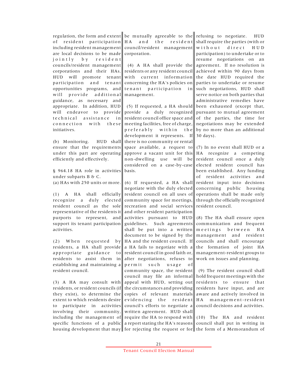| participation HA<br>οf<br>resident<br>are local decisions to be made corporation.<br>resident<br>jointly<br>$\mathbf{b} \mathbf{y}$<br>councils/resident management<br>will<br>promote<br>tenant<br>HUD<br>and<br>participation<br>tenant<br>opportunities programs, | regulation, the form and extent $\parallel$ be mutually agreeable to the refusing to negotiate.<br>and<br>th e<br>including resident management council/resident management<br>(4) A HA shall provide the<br>corporations and their HAs. residents or any resident council<br>current<br>information<br>with<br>concerning the HA's policies on<br>and tenant participation<br>in                     | HUD<br>resident shall require the parties (with or<br>without<br>direct<br>H U D<br>participation) to undertake or to<br>resume negotiations on<br>an<br>agreement. If no resolution is<br>achieved within 90 days from<br>the date HUD required the<br>parties to undertake or resume<br>such negotiations, HUD shall                                                         |
|----------------------------------------------------------------------------------------------------------------------------------------------------------------------------------------------------------------------------------------------------------------------|-------------------------------------------------------------------------------------------------------------------------------------------------------------------------------------------------------------------------------------------------------------------------------------------------------------------------------------------------------------------------------------------------------|--------------------------------------------------------------------------------------------------------------------------------------------------------------------------------------------------------------------------------------------------------------------------------------------------------------------------------------------------------------------------------|
| additional<br>will<br>provide<br>guidance, as necessary<br>and<br>appropriate. In addition, HUD<br>will<br>endeavor<br>to<br>technical<br>assistance<br>in<br>these<br>with<br>connection<br>initiatives.<br>HUD shall                                               | management.<br>provide provide a<br>within<br>th e<br>preferably<br>development it represents. If<br>there is no community or rental                                                                                                                                                                                                                                                                  | serve notice on both parties that<br>administrative remedies have<br>(5) If requested, a HA should been exhausted (except that,<br>duly recognized pursuant to mutual agreement<br>resident council office space and of the parties, the time for<br>meeting facilities, free of charge, negotiations may be extended<br>by no more than an additional<br>$30 \text{ days}$ ). |
| (b) Monitoring.<br>ensure that the requirements<br>under this part are operating<br>efficiently and effectively.<br>§ 964.18 HA role in activities                                                                                                                   | non-dwelling<br>will<br>use<br>basis.                                                                                                                                                                                                                                                                                                                                                                 | space available, a request to $(7)$ In no event shall HUD or a<br>approve a vacant unit for this HA recognize a competing<br>be resident council once a duly<br>considered on a case-by-case elected resident council has<br>been established. Any funding                                                                                                                     |
| under subparts B & C.<br>(a) HAs with 250 units or more.<br>shall<br>(1)<br>HA<br>A<br>duly<br>recognize<br>a                                                                                                                                                        | (6) If requested, a HA shall<br>negotiate with the duly elected<br>officially resident council on all uses of<br>elected community space for meetings,<br>resident council as the sole recreation and social services resident council.                                                                                                                                                               | resident<br>activities<br>of<br>and<br>resident input into decisions<br>concerning public<br>housing<br>operations shall be made only<br>through the officially recognized                                                                                                                                                                                                     |
| represent,<br>purports<br>to<br>and<br>support its tenant participation<br>activities.                                                                                                                                                                               | representative of the residents it and other resident participation<br>activities<br>guidelines.<br>shall be put into a written meetings<br>document to be signed by the management                                                                                                                                                                                                                   | pursuant to $HUD$ (8) The HA shall ensure open<br>Such agreements communication and frequent<br>between<br>H A<br>and<br>resident                                                                                                                                                                                                                                              |
| When<br>(2)<br>requested<br>guidance<br>appropriate<br>residents to<br>assist them<br>establishing and maintaining a<br>resident council.                                                                                                                            | by HA and the resident council. If councils and shall encourage<br>residents, a HA shall provide a HA fails to negotiate with a the formation of joint HA<br>to resident council in good faith or, management-resident groups to<br>in after negotiations, refuses to work on issues and planning.<br>permit<br>such<br>usage<br>0 f<br>community space, the resident<br>council may file an informal | (9) The resident council shall<br>hold frequent meetings with the                                                                                                                                                                                                                                                                                                              |
| (3) A HA may consult with<br>residents, or resident councils (if<br>they exist), to determine the<br>extent to which residents desire<br>participate<br>activities<br>in<br>to<br>involving<br>their<br>community,<br>specific functions of a public                 | appeal with HUD, setting out<br>the circumstances and providing<br>evidencing<br>the<br>resident<br>council's efforts to negotiate a<br>written agreement. HUD shall<br>including the management of require the HA to respond with                                                                                                                                                                    | residents<br>to<br>ensure<br>that<br>residents have input, and are<br>copies of relevant materials aware and actively involved in<br>management-resident<br>ΗA<br>council decisions and activities.<br>The HA<br>(10)<br>and resident<br>a report stating the HA's reasons council shall put in writing in                                                                     |
|                                                                                                                                                                                                                                                                      | housing development that may for rejecting the request or for the form of a Memorandum of                                                                                                                                                                                                                                                                                                             |                                                                                                                                                                                                                                                                                                                                                                                |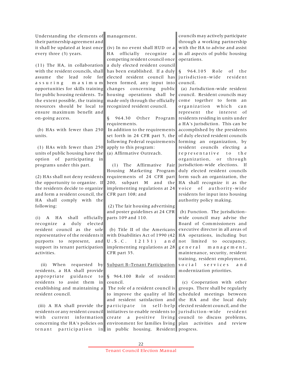| Understanding the elements of management. |                                                                                                             | councils may actively participate            |
|-------------------------------------------|-------------------------------------------------------------------------------------------------------------|----------------------------------------------|
| their partnership agreement and           |                                                                                                             | through a working partnership                |
| it shall be updated at least once         | (iv) In no event shall HUD or a                                                                             | with the HA to advise and assist             |
| every three (3) years.                    | ΗA<br>officially<br>recognize<br>a                                                                          | in all aspects of public housing             |
|                                           | competing resident council once                                                                             | operations.                                  |
| $(11)$ The HA, in collaboration           | a duly elected resident council                                                                             |                                              |
| with the resident councils, shall         | has been established. If a duly                                                                             | th e<br>S<br>964.105<br>Role<br>0 f          |
| lead<br>the<br>role<br>for<br>assume      | elected resident council has                                                                                | jurisdiction-wide<br>resident                |
| maximum                                   |                                                                                                             | council.                                     |
| assuring                                  | been formed, any input into                                                                                 |                                              |
| opportunities for skills training         | concerning<br>changes<br>public                                                                             | (a) Jurisdiction-wide resident               |
| for public housing residents. To          | housing operations shall be                                                                                 | council. Resident councils may               |
| the extent possible, the training         | made only through the officially                                                                            | come together to form<br>an                  |
| resources should be local to              | recognized resident council.                                                                                | organization<br>which<br>can                 |
| ensure maximum benefit and                |                                                                                                             | represent<br>the<br>interest<br>οf           |
| on-going access.                          | Other<br>964.30<br>Program<br>ş                                                                             | residents residing in units under            |
|                                           | requirements.                                                                                               | a HA's jurisdiction. This can be             |
| (b) HAs with fewer than 250               | In addition to the requirements                                                                             | accomplished by the presidents               |
| units.                                    | set forth in 24 CFR part 5, the                                                                             | of duly elected resident councils            |
|                                           | following Federal requirements                                                                              | forming an organization, by                  |
| (1) HAs with fewer than 250               | apply to this program:                                                                                      | resident councils electing a                 |
| units of public housing have the          | (a) Affirmative Outreach.                                                                                   | representative<br>t h e<br>t o               |
| participating<br>option of<br>in          |                                                                                                             | organization, or through                     |
| programs under this part.                 | Affirmative<br>Fair<br>(1)<br>The                                                                           | jurisdiction-wide elections. If              |
|                                           | Housing Marketing<br>Program                                                                                | duly elected resident councils               |
| (2) HAs shall not deny residents          | requirements of 24 CFR part                                                                                 | form such an organization, the               |
|                                           | 200,<br>subpart<br>M<br>and                                                                                 |                                              |
| the opportunity to organize. If           | the                                                                                                         | HA shall recognize it as the                 |
| the residents decide to organize          | implementing regulations at 24                                                                              | authority-wide<br>voice<br>0 f               |
| and form a resident council, the          | CFR part 108; and                                                                                           | residents for input into housing             |
| shall<br>comply with the<br>ΗA            |                                                                                                             | authority policy making.                     |
| following:                                | (2) The fair housing advertising                                                                            |                                              |
|                                           | and poster guidelines at 24 CFR                                                                             | (b) Function. The jurisdiction-              |
| officially<br>shall<br>(i)<br>A<br>HА     | parts 109 and 110.                                                                                          | wide council may advise the                  |
| elected<br>recognize<br>duly<br>a         |                                                                                                             | Board of Commissioners and                   |
| resident council as the sole              | (b) Title II of the Americans                                                                               | executive director in all areas of           |
|                                           | representative of the residents it with Disabilities Act of 1990 (42)                                       | HA operations, including but                 |
| represent,<br>purports<br>to              | and $U.S.C.$<br>12131)<br>and                                                                               | limited to<br>not<br>occupancy,              |
|                                           | support its tenant participation implementing regulations at $28$ general management,                       |                                              |
| activities.                               | CFR part 35.                                                                                                | maintenance, security, resident              |
|                                           |                                                                                                             | training, resident employment,               |
| When<br>requested<br>(11)                 | by Subpart B-Tenant Participation                                                                           | social<br>services<br>a n d                  |
| residents, a HA shall provide             |                                                                                                             | modernization priorities.                    |
| appropriate<br>guidance<br>tol            | § 964.100 Role of resident                                                                                  |                                              |
| residents to assist them in council.      |                                                                                                             | (c) Cooperation with other                   |
| establishing and maintaining a            | The role of a resident council is                                                                           | groups. There shall be regularly             |
| resident council.                         | to improve the quality of life                                                                              | scheduled meetings between                   |
|                                           | and resident satisfaction and                                                                               | the HA and the local duly                    |
| (iii) A HA shall provide the participate  |                                                                                                             | elected resident council, and the            |
|                                           | in<br>self-help<br>residents or any resident council initiatives to enable residents to jurisdiction - wide |                                              |
|                                           |                                                                                                             | resident                                     |
| information create a<br>current<br>with   |                                                                                                             | positive living council to discuss problems, |
|                                           | concerning the HA's policies on environment for families living plan activities                             | and<br>review                                |
| participation<br>tenant                   | in in public housing. Resident progress.                                                                    |                                              |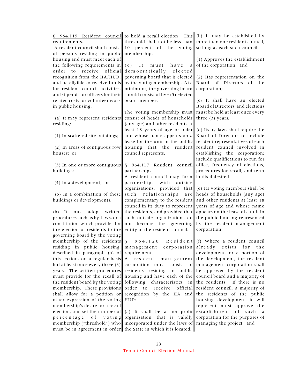|                                                      | § 964.115 Resident council to hold a recall election. This (b) It may be established by |                                                                  |
|------------------------------------------------------|-----------------------------------------------------------------------------------------|------------------------------------------------------------------|
|                                                      |                                                                                         | threshold shall not be less than more than one resident council, |
| requirements.<br>A resident council shall consist 10 | percent<br>of<br>the                                                                    | voting so long as each such council:                             |
| of persons residing in public membership.            |                                                                                         |                                                                  |
| housing and must meet each of                        |                                                                                         | (1) Approves the establishment                                   |
| the following requirements in                        | (c)<br>I t<br>have<br>must                                                              | of the corporation; and                                          |
| official<br>order<br>to<br>receive                   | a I<br>democratically<br>elected                                                        |                                                                  |
| recognition from the HA/HUD,                         | governing board that is elected                                                         | (2) Has representation on the                                    |
|                                                      | and be eligible to receive funds by the voting membership. At a                         | Board<br>of Directors<br>οf<br>the                               |
| for resident council activities,                     | minimum, the governing board                                                            | corporation;                                                     |
| and stipends for officers for their                  | should consist of five (5) elected                                                      |                                                                  |
| related costs for volunteer work                     | board members.                                                                          | (c) It shall have an elected                                     |
| in public housing:                                   |                                                                                         | Board of Directors, and elections                                |
|                                                      | The voting membership must                                                              | must be held at least once every                                 |
| (a) It may represent residents                       | consist of heads of households                                                          | three $(3)$ years;                                               |
| residing:                                            | (any age) and other residents at                                                        |                                                                  |
|                                                      | least 18 years of age or older                                                          | (d) Its by-laws shall require the                                |
| (1) In scattered site buildings;                     | and whose name appears on a                                                             | Board of Directors to include                                    |
|                                                      | lease for the unit in the public                                                        | resident representatives of each                                 |
| (2) In areas of contiguous row                       | housing<br>that<br>resident<br>the                                                      | resident council involved in                                     |
| houses; or                                           | council represents.                                                                     | establishing the corporation;                                    |
|                                                      |                                                                                         | include qualifications to run for                                |
| (3) In one or more contiguous                        | 964.117 Resident<br>\$.<br>council                                                      | office, frequency of elections,                                  |
| buildings;                                           | partnerships.                                                                           | procedures for recall, and term                                  |
|                                                      | A resident council may form                                                             | limits if desired.                                               |
| (4) In a development; or                             | partnerships<br>with<br>outside                                                         |                                                                  |
|                                                      | organizations,<br>provided<br>that                                                      | (e) Its voting members shall be                                  |
| (5) In a combination of these                        | such<br>relationships<br>are                                                            | heads of households (any age)                                    |
| buildings or developments;                           | complementary to the resident                                                           | and other residents at least 18                                  |
|                                                      | council in its duty to represent                                                        | years of age and whose name                                      |
| adopt<br>written<br>It must<br>(b)                   | the residents, and provided that                                                        | appears on the lease of a unit in                                |
| procedures such as by-laws, or a                     | such outside organizations do                                                           | the public housing represented                                   |
| constitution which provides for                      | not become the governing                                                                | by the resident management                                       |
| the election of residents to the                     | entity of the resident council.                                                         | corporation;                                                     |
| governing board by the voting                        |                                                                                         |                                                                  |
| membership of the residents §                        | 964.120                                                                                 | $R$ e s i d e n t $(f)$ Where a resident council                 |
| residing in public housing,                          | management                                                                              | corporation already exists<br>for<br>th e                        |
| described in paragraph (b) of requirements.          |                                                                                         | development, or a portion of                                     |
| this section, on a regular basis A                   | resident<br>management                                                                  | the development, the resident                                    |
|                                                      | but at least once every three $(3)$ corporation must consist of                         | management corporation shall                                     |
|                                                      | years. The written procedures residents residing in public be approved by the resident  |                                                                  |
|                                                      | must provide for the recall of housing and have each of the                             | council board and a majority of                                  |
| the resident board by the voting following           | characteristics<br>in                                                                   | the residents. If there is no                                    |
| membership. These provisions order to                | receive<br>official                                                                     | resident council, a majority of                                  |
|                                                      | shall allow for a petition or recognition by the HA and                                 | the residents of the public                                      |
| other expression of the voting HUD:                  |                                                                                         | housing development it will                                      |
| membership's desire for a recall                     |                                                                                         | represent must approve the                                       |
|                                                      | election, and set the number of $\ $ (a) It shall be a non-profit                       | establishment<br>of such<br><sub>a</sub>                         |
| o f<br>percentage                                    | voting organization that is validly                                                     | corporation for the purposes of                                  |
|                                                      | membership ("threshold") who incorporated under the laws of                             | managing the project; and                                        |
|                                                      | must be in agreement in order the State in which it is located;                         |                                                                  |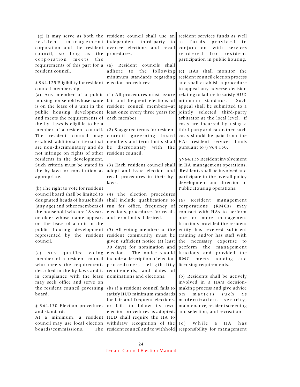|                                                         | (g) It may serve as both the resident council shall use an resident services funds as well       |                                                 |
|---------------------------------------------------------|--------------------------------------------------------------------------------------------------|-------------------------------------------------|
| resident                                                | m a n a g e m e n t   independent third-party<br>to                                              | funds<br>a s<br>provided<br>i n                 |
|                                                         | corporation and the resident oversee elections and recall                                        | conjunction<br>with<br>services                 |
| council,<br>SO.<br>long<br>a s                          | the procedures.                                                                                  | rendered<br>for<br>resident                     |
| t h e<br>corporation<br>meets                           |                                                                                                  | participation in public housing.                |
| requirements of this part for a                         | shall<br>(a)<br>Resident<br>councils                                                             |                                                 |
| resident council.                                       | following<br>adhere<br>to<br>the                                                                 | (c) HAs shall monitor the                       |
|                                                         | minimum standards regarding                                                                      | resident council election process               |
| § 964.125 Eligibility for resident election procedures: |                                                                                                  | and shall establish a procedure                 |
| council membership.                                     |                                                                                                  | to appeal any adverse decision                  |
|                                                         | (a) Any member of a public $(1)$ All procedures must assure                                      | relating to failure to satisfy HUD              |
|                                                         | housing household whose name fair and frequent elections of                                      | minimum standards.<br>Such                      |
|                                                         | is on the lease of a unit in the resident council members--at                                    | appeal shall be submitted to a                  |
|                                                         | public housing development least once every three years for                                      | jointly selected third-party                    |
| and meets the requirements of each member.              |                                                                                                  | arbitrator at the local level. If               |
| the by-laws is eligible to be a                         |                                                                                                  | costs are incurred by using a                   |
|                                                         | member of a resident council. (2) Staggered terms for resident third-party arbitrator, then such |                                                 |
| The                                                     |                                                                                                  |                                                 |
| council<br>resident<br>may                              | council governing                                                                                | board costs should be paid from the             |
|                                                         | establish additional criteria that members and term limits shall HAs resident services funds     |                                                 |
| are non-discriminatory and do be discretionary          | with<br>the                                                                                      | pursuant to § 964.150.                          |
| not infringe on rights of other resident council.       |                                                                                                  |                                                 |
| residents in the development.                           |                                                                                                  | § 964.135 Resident involvement                  |
|                                                         | Such criteria must be stated in $(3)$ Each resident council shall                                | in HA management operations.                    |
| the by-laws or constitution as                          | adopt and issue election and                                                                     | Residents shall be involved and                 |
| appropriate.                                            | recall procedures in their by-                                                                   | participate in the overall policy               |
|                                                         | laws.                                                                                            | development and direction of                    |
| (b) The right to vote for resident                      |                                                                                                  | Public Housing operations.                      |
| council board shall be limited to                       | (4) The election procedures                                                                      |                                                 |
| designated heads of households                          | shall include qualifications to                                                                  | (a)<br>Resident management                      |
| (any age) and other members of                          | run for office, frequency of                                                                     | corporations<br>(RMCs)<br>may                   |
| the household who are 18 years                          | elections, procedures for recall,                                                                | contract with HAs to perform                    |
| or older whose name appears                             | and term limits if desired.                                                                      | or more management<br>one                       |
| on the lease of a unit in the                           |                                                                                                  | functions provided the resident                 |
|                                                         | public housing development (5) All voting members of the                                         | entity has received sufficient                  |
|                                                         | represented by the resident resident community must be                                           | training and/or has staff with                  |
| council.                                                | given sufficient notice (at least the                                                            | necessary<br>expertise<br>to                    |
|                                                         | 30 days) for nomination and perform                                                              | the<br>management                               |
| (c)<br>Any<br>qualified                                 | voting election.                                                                                 | The notice should functions and provided<br>the |
|                                                         | member of a resident council include a description of election RMC                               | bonding<br>meets<br>and                         |
| who meets the requirements procedures,                  |                                                                                                  | eligibility licensing requirements.             |
| described in the by-laws and is requirements, and dates | of                                                                                               |                                                 |
| in compliance with the lease nominations and elections. |                                                                                                  | (b) Residents shall be actively                 |
| may seek office and serve on                            |                                                                                                  | involved in a HA's decision-                    |
| the resident council governing                          | (b) If a resident council fails to                                                               | making process and give advice                  |
| board.                                                  | satisfy HUD minimum standards                                                                    | matters<br>s u c h                              |
|                                                         | for fair and frequent elections,                                                                 | o n<br>a s                                      |
|                                                         | fails to follow its own                                                                          | modernization,<br>security,                     |
| § 964.130 Election procedures                           | or                                                                                               | maintenance, resident screening                 |
| and standards.                                          | election procedures as adopted,                                                                  | and selection, and recreation.                  |
| At a minimum, a resident                                | HUD shall require the HA to                                                                      |                                                 |
|                                                         | council may use local election withdraw recognition of the $(c)$                                 | While<br>НA<br>h a s<br>a                       |
| boards/commissions.                                     | The resident council and to withhold responsibility for management                               |                                                 |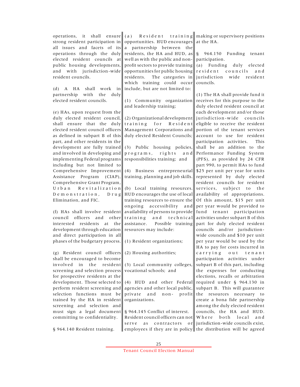| ensure $(a)$<br>it<br>shall<br>operations,<br>all issues and facets of its | Resident<br>strong resident participation in opportunities. HUD encourages at the HA.<br>a partnership between<br>the | training making or supervisory positions                              |
|----------------------------------------------------------------------------|-----------------------------------------------------------------------------------------------------------------------|-----------------------------------------------------------------------|
|                                                                            | operations through the duly residents, the HA and HUD, as                                                             | ş<br>964.150<br>Funding<br>tenant                                     |
| elected resident councils<br>at                                            | well as with the public and non-                                                                                      | participation.                                                        |
| public housing developments,                                               | profit sectors to provide training                                                                                    | (a)<br>Funding<br>duly<br>elected                                     |
| jurisdiction-wide<br>with<br>and                                           | opportunities for public housing                                                                                      | resident<br>councils<br>a n d                                         |
| resident councils.                                                         | The categories in jurisdiction<br>residents.                                                                          | wide<br>resident                                                      |
|                                                                            | which training could occur                                                                                            | councils.                                                             |
| shall<br>(d)<br>A HA<br>work<br>in                                         | include, but are not limited to:                                                                                      |                                                                       |
| with<br>the<br>duly<br>partnership                                         |                                                                                                                       | (1) The HA shall provide fund it                                      |
| elected resident councils.                                                 | (1) Community organization                                                                                            | receives for this purpose to the                                      |
|                                                                            | and leadership training;                                                                                              | duly elected resident council at                                      |
| (e) HAs, upon request from the                                             |                                                                                                                       | each development and/or those                                         |
| duly elected resident council,                                             | (2) Organizational development                                                                                        | jurisdiction-wide councils                                            |
| shall ensure that the duly                                                 | training<br>for<br>Resident                                                                                           | eligible to receive the resident                                      |
| elected resident council officers                                          | Management Corporations and                                                                                           | portion of the tenant services                                        |
| as defined in subpart B of this                                            | duly elected Resident Councils;                                                                                       | account to use for resident                                           |
| part, and other residents in the                                           |                                                                                                                       | This<br>participation activities.                                     |
| development are fully trained                                              | (3) Public housing<br>policies,                                                                                       | shall be an addition to the                                           |
| and involved in developing and                                             | programs,<br>rights<br>a n d                                                                                          | Performance Funding System                                            |
| implementing Federal programs                                              | responsibilities training; and                                                                                        | (PFS), as provided by 24 CFR<br>part 990, to permit HAs to fund       |
| including but not limited to<br>Comprehensive Improvement                  | (4) Business entrepreneurial                                                                                          | \$25 per unit per year for units                                      |
| $(CIAP)$ ,<br>Assistance<br>Program                                        | training, planning and job skills                                                                                     | represented by duly elected                                           |
| Comprehensive Grant Program,                                               |                                                                                                                       | resident councils for resident                                        |
| Revitalization<br>Urban                                                    | (b) Local training resources.                                                                                         | subject<br>services,<br>to<br>the                                     |
| Demonstration,<br>Drug                                                     | HUD encourages the use of local                                                                                       | availability of appropriations.                                       |
| Elimination, and FIC.                                                      | training resources to ensure the                                                                                      | Of this amount, \$15 per unit                                         |
|                                                                            | ongoing<br>accessibility<br>and                                                                                       | per year would be provided to                                         |
| (f) HAs shall involve resident                                             | availability of persons to provide                                                                                    | tenant participation<br>fund                                          |
| officers<br>and<br>other<br>council                                        | training<br>and<br>technical                                                                                          | activities under subpart B of this                                    |
| the<br>interested<br>residents<br>at                                       | assistance.<br>Possible training                                                                                      | part for duly elected resident                                        |
| development through education                                              | resources may include:                                                                                                | councils and/or jurisdiction-                                         |
| and direct participation in all                                            |                                                                                                                       | wide councils and \$10 per unit                                       |
| phases of the budgetary process.                                           | (1) Resident organizations;                                                                                           | per year would be used by the                                         |
|                                                                            |                                                                                                                       | HA to pay for costs incurred in                                       |
| (g) Resident council officers (2) Housing authorities;                     |                                                                                                                       | carrying<br>o u t<br>tenant                                           |
| shall be encouraged to become                                              |                                                                                                                       | participation<br>activities under                                     |
| involved<br>in<br>the<br>resident                                          | (3) Local community colleges,                                                                                         | subpart B of this part, including                                     |
| screening and selection process                                            | vocational schools; and                                                                                               | the expenses for conducting                                           |
| for prospective residents at the                                           |                                                                                                                       | elections, recalls or arbitration                                     |
| development. Those selected to                                             | (4) HUD and other Federal                                                                                             | required under § 964.130 in                                           |
| perform resident screening and                                             | agencies and other local public,                                                                                      | subpart B. This will guarantee                                        |
| selection functions must be                                                | private<br>and<br>non-<br>profit                                                                                      | resources<br>the<br>necessary<br>to                                   |
| trained by the HA in resident                                              | organizations.                                                                                                        | create a bona fide partnership                                        |
| screening and selection and                                                |                                                                                                                       | among the duly elected resident                                       |
| must sign a legal document                                                 | § 964.145 Conflict of interest.                                                                                       | councils, the HA and HUD.                                             |
| committing to confidentiality.                                             | Resident council officers can not<br>contractors<br>serve<br>a s                                                      | Where<br>both<br>local<br>and<br>or jurisdiction-wide councils exist, |
| § 964.140 Resident training.                                               |                                                                                                                       | employees if they are in policy the distribution will be agreed       |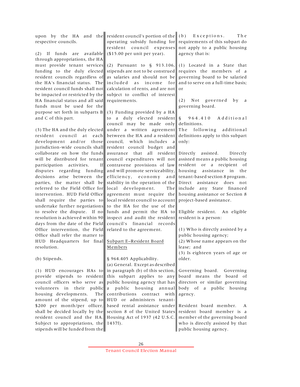| respective councils.<br>(2)<br>If funds<br>are<br>through appropriations, the HA                                                                                                                              | upon by the HA and the resident council's portion of the $\ $ (b)<br>operating subsidy funding for<br>resident council expenses<br>available (\$15.00 per unit per year).                                                                                                                            | T h e<br>Exceptions.<br>requirements of this subpart do<br>not apply to a public housing<br>agency that is:                                                              |
|---------------------------------------------------------------------------------------------------------------------------------------------------------------------------------------------------------------|------------------------------------------------------------------------------------------------------------------------------------------------------------------------------------------------------------------------------------------------------------------------------------------------------|--------------------------------------------------------------------------------------------------------------------------------------------------------------------------|
| the HA's financial status. The included                                                                                                                                                                       | must provide tenant services $(2)$ Pursuant to $\frac{1}{5}$ 913.106,<br>funding to the duly elected stipends are not to be construed<br>resident councils regardless of as salaries and should not be<br>a s<br>income<br>for<br>resident council funds shall not calculation of rents, and are not | (1) Located in a State that<br>requires the members of a<br>governing board to be salaried<br>and to serve on a full-time basis;<br>or                                   |
| HA financial status and all said requirements.<br>funds must be used for the<br>and C of this part.                                                                                                           | be impacted or restricted by the subject to conflict of interest<br>purpose set forth in subparts $B  (3)$ Funding provided by a HA<br>to a duly elected resident                                                                                                                                    | (2)<br>governed<br>b y<br>Not<br>a<br>governing board.<br><sub>S</sub><br>964.410<br>Additional                                                                          |
| council<br>a t<br>resident<br>and/or<br>development                                                                                                                                                           | council may be made only<br>$(3)$ The HA and the duly elected under a written agreement The<br>each between the HA and a resident definitions apply to this subpart<br>those council,<br>which<br>includes<br>a                                                                                      | definitions.<br>following<br>additional<br>only:                                                                                                                         |
| collaborate on how the funds assurance that<br>participation<br>activities.<br>regarding<br>disputes                                                                                                          | jurisdiction-wide councils shall resident council budget and<br>all resident Directly<br>will be distributed for tenant council expenditures will not assisted means a public housing<br>If contravene provisions of law<br>funding and will promote serviceability,                                 | assisted.<br>Directly<br>resident<br>or a recipient<br>of<br>housing<br>assistance<br>in<br>the                                                                          |
| decisions arise between the efficiency, economy<br>referred to the Field Office for local development.                                                                                                        | parties, the matter shall be stability in the operation of the<br>The<br>intervention. HUD Field Office agreement must require the<br>shall require the parties to local resident council to account                                                                                                 | and tenant-based section 8 program.<br>Direct<br>assistance<br>does<br>not<br>include any State financed<br>housing assistance or Section 8<br>project-based assistance. |
| days from the date of the Field council's financial<br>Office intervention, the Field related to the agreement.                                                                                               | undertake further negotiations to the HA for the use of the<br>to resolve the dispute. If no funds and permit the HA to<br>resolution is achieved within 90 inspect and audit the resident<br>records                                                                                                | Eligible resident. An eligible<br>resident is a person:<br>(1) Who is directly assisted by a                                                                             |
| Office shall refer the matter to<br>HUD Headquarters for final<br>resolution.                                                                                                                                 | Subpart E-Resident Board<br>Members                                                                                                                                                                                                                                                                  | public housing agency;<br>(2) Whose name appears on the<br>lease; and<br>(3) Is eighteen years of age or                                                                 |
| (b) Stipends.                                                                                                                                                                                                 | § 964.405 Applicability.<br>(a) General. Except as described<br>(1) HUD encourages HAs to in paragraph (b) of this section,                                                                                                                                                                          | older.<br>Governing board.<br>Governing                                                                                                                                  |
| volunteers<br>their<br>public a<br>in<br>housing developments.<br>The                                                                                                                                         | provide stipends to resident this subpart applies to any<br>council officers who serve as public housing agency that has<br>public<br>housing<br>annual<br>contributions<br>contract<br>with                                                                                                         | board means the<br>board of<br>directors or similar governing<br>body of a public housing<br>agency.                                                                     |
| amount of the stipend, up to<br>\$200 per month/per officer,<br>shall be decided locally by the<br>resident council and the HA.<br>Subject to appropriations, the 1437f).<br>stipends will be funded from the | HUD or administers tenant-<br>based rental assistance under<br>section 8 of the United States<br>Housing Act of 1937 (42 U.S.C.                                                                                                                                                                      | Resident board member.<br>A<br>resident board member is a<br>member of the governing board<br>who is directly assisted by that<br>public housing agency.                 |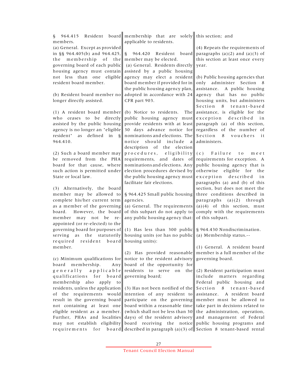| Resident<br>964.415<br>S.<br>members.                                                                                                                                 | board membership that are<br>applicable to residents.                                                                                                                                                                                                                                                                                                                 | solely this section; and                                                                                                                                                                                               |
|-----------------------------------------------------------------------------------------------------------------------------------------------------------------------|-----------------------------------------------------------------------------------------------------------------------------------------------------------------------------------------------------------------------------------------------------------------------------------------------------------------------------------------------------------------------|------------------------------------------------------------------------------------------------------------------------------------------------------------------------------------------------------------------------|
| (a) General. Except as provided<br>in §§ 964.405(b) and 964.425,<br>of<br>membership<br>the<br>t h e<br>governing board of each public<br>housing agency must contain | Resident<br>board<br>ş<br>964.420<br>member may be elected.<br>(a) General. Residents directly<br>assisted by a public housing                                                                                                                                                                                                                                        | (4) Repeats the requirements of<br>paragraphs $(a)(2)$ and $(a)(3)$ of<br>this section at least once every<br>year.                                                                                                    |
| less than one<br>eligible<br>not<br>resident board member.<br>(b) Resident board member no<br>longer directly assisted.                                               | agency may elect a resident<br>board member if provided for in<br>the public housing agency plan,<br>adopted in accordance with 24<br>CFR part 903.                                                                                                                                                                                                                   | (b) Public housing agencies that<br>only<br>administer Section<br>8<br>assistance. A public housing<br>agency that has no public<br>housing units, but administers                                                     |
| (1) A resident board member (b) Notice to residents.<br>who ceases to be<br>defined in<br>resident"<br>as<br>$\mathbf{S}$<br>964.410.                                 | The<br>directly public housing agency must<br>assisted by the public housing provide residents with at least<br>agency is no longer an "eligible 30 days advance notice for<br>nominations and elections. The<br>notice<br>should<br>include<br>a                                                                                                                     | 8<br>Section<br>tenant-based<br>assistance, is eligible for the<br>exception<br>described<br>in<br>paragraph (a) of this section,<br>regardless of the number<br>-of<br>Section<br>8<br>vouchers<br>it<br>administers. |
| $(2)$ Such a board member may<br>State or local law.                                                                                                                  | description<br>οf<br>the<br>election<br>procedures,<br>eligibility<br>be removed from the PHA requirements, and dates of requirements for exception. A<br>board for that cause, where nominations and elections. Any<br>such action is permitted under election procedures devised by<br>the public housing agency must<br>facilitate fair elections.                 | (c)<br>Failure<br>t o<br>meet<br>public housing agency that is<br>eligible<br>otherwise<br>for<br>the<br>exception<br>described<br>i n<br>paragraphs (a) and (b) of this                                               |
| (3) Alternatively, the board<br>complete his/her current term agencies.<br>board.<br>member<br>may not be<br>$re-$<br>appointed (or re-elected) to the                | member may be allowed to $\frac{1}{8}$ 964.425 Small public housing<br>as a member of the governing (a) General. The requirements<br>However, the board of this subpart do not apply to<br>any public housing agency that:                                                                                                                                            | section, but does not meet the<br>three conditions described in<br>paragraphs<br>(a)(2)<br>through<br>$(a)(4)$ of this section, must<br>comply with the requirements<br>of this subpart.                               |
| the<br>serving<br>as<br>required<br>resident<br>member.                                                                                                               | governing board for purposes of (1) Has less than 300 public<br>statutorily housing units (or has no public<br>board housing units):                                                                                                                                                                                                                                  | § 964.430 Nondiscrimination.<br>(a) Membership status.--<br>(1) General. A resident board                                                                                                                              |
| membership.<br>board<br>Any<br>$applied by the$ residents<br>generally                                                                                                | (c) Minimum qualifications for notice to the resident advisory governing board.<br>board of the opportunity for<br>to<br>serve<br>thel<br>on                                                                                                                                                                                                                          | (2) Has provided reasonable member is a full member of the<br>(2) Resident participation must                                                                                                                          |
| qualifications<br>for<br>membership<br>also<br>apply<br>to                                                                                                            | board governing board;<br>residents, unless the application $\parallel$ (3) Has not been notified of the<br>of the requirements would intention of any resident to                                                                                                                                                                                                    | include<br>matters regarding<br>Federal public housing and<br>Section<br>tenant-based<br>8<br>assistance.<br>A resident board                                                                                          |
| may not establish eligibility board receiving the<br>requirements<br>for                                                                                              | result in the governing board participate on the governing<br>not containing at least one board within a reasonable time take part in decisions related to<br>eligible resident as a member. (which shall not be less than 30)<br>Further, PHAs and localities days) of the resident advisory<br>board described in paragraph (a)(3) of Section 8 tenant-based rental | member must be allowed to<br>the administration, operation,<br>and management of Federal<br>notice public housing programs and                                                                                         |

 $\overline{\phantom{0}}$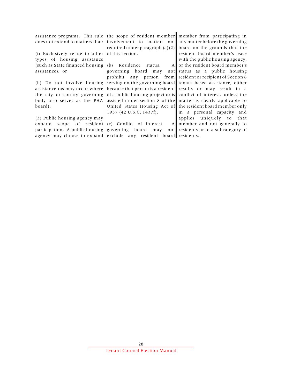|                                                            | assistance programs. This rule the scope of resident member member from participating in        |                                                             |
|------------------------------------------------------------|-------------------------------------------------------------------------------------------------|-------------------------------------------------------------|
|                                                            | does not extend to matters that: involvement to matters not any matter before the governing     |                                                             |
|                                                            | required under paragraph $(a)(2)$ board on the grounds that the                                 |                                                             |
| (i) Exclusively relate to other of this section.           |                                                                                                 | resident board member's lease                               |
| types of housing assistance                                |                                                                                                 | with the public housing agency,                             |
| (such as State financed housing $\ $ (b) Residence status. |                                                                                                 | A or the resident board member's                            |
| assistance); or                                            | governing board may not status as a public housing                                              |                                                             |
|                                                            |                                                                                                 | prohibit any person from resident or recipient of Section 8 |
|                                                            | (ii) Do not involve housing serving on the governing board tenant-based assistance, either      |                                                             |
|                                                            | assistance (as may occur where because that person is a resident results or may result in a     |                                                             |
|                                                            | the city or county governing of a public housing project or is conflict of interest, unless the |                                                             |
|                                                            | body also serves as the PHA assisted under section 8 of the matter is clearly applicable to     |                                                             |
| board).                                                    |                                                                                                 | United States Housing Act of the resident board member only |
|                                                            | 1937 (42 U.S.C. 1437f).                                                                         | in a personal capacity and                                  |
| (3) Public housing agency may                              |                                                                                                 | applies uniquely to that                                    |
| expand                                                     | scope of resident (c) Conflict of interest. A member and not generally to                       |                                                             |
|                                                            | participation. A public housing governing board may not residents or to a subcategory of        |                                                             |
|                                                            | agency may choose to expand exclude any resident board residents.                               |                                                             |
|                                                            |                                                                                                 |                                                             |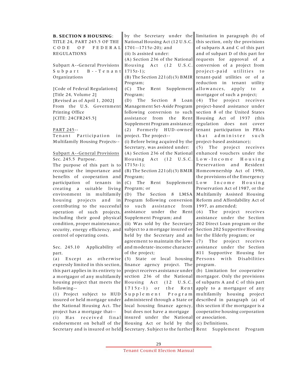| <b>B. SECTION 8 HOUSING:</b>               |                                                                                                                                                                                          | by the Secretary under the limitation in paragraph (b) of       |
|--------------------------------------------|------------------------------------------------------------------------------------------------------------------------------------------------------------------------------------------|-----------------------------------------------------------------|
| TITLE 24, PART 245.5 OF THE                | National Housing Act (12 U.S.C.                                                                                                                                                          | this section, only the provisions                               |
| O F<br>FEDERAL<br>CODE                     | 1701--1715z-20); and                                                                                                                                                                     | of subparts A and C of this part                                |
| REGULATIONS                                | (ii) Is assisted under:                                                                                                                                                                  | and of subpart D of this part for                               |
|                                            | (A) Section 236 of the National                                                                                                                                                          | requests for approval of a                                      |
| Subpart A--General Provisions              | (12)<br>Housing<br>Act<br>U.S.C.                                                                                                                                                         | conversion of a project from                                    |
| $B - T e n a n t$<br>Subpart               | $1715z-1$ ;                                                                                                                                                                              | project-paid<br>utilities<br>t o                                |
| Organizations                              | (B) The Section $221(d)(3)$ BMIR                                                                                                                                                         | tenant-paid utilities or of a                                   |
|                                            | Program;                                                                                                                                                                                 | reduction<br>in<br>tenant<br>utility                            |
| [Code of Federal Regulations]              | (C)<br>The<br>Supplement<br>Rent                                                                                                                                                         | allowances,<br>apply<br>t o<br>a                                |
| [Title 24, Volume 2]                       | Program;                                                                                                                                                                                 | mortgagor of such a project;                                    |
| [Revised as of April 1, 2002]              | (D)<br>The<br>Section<br>8<br>Loan                                                                                                                                                       | (4)<br>The<br>project<br>receives                               |
| From the U.S. Government                   | Management Set-Aside Program                                                                                                                                                             | project-based assistance under                                  |
| Printing Office                            | following conversion to such                                                                                                                                                             | section 8 of the United States                                  |
| [CITE: 24CFR245.5]                         | from<br>the<br>assistance<br>Rent                                                                                                                                                        | Housing Act of<br>1937<br>(this                                 |
|                                            | Supplement Program assistance;                                                                                                                                                           | regulation<br>does<br>not<br>cover                              |
| PART 245--                                 | Formerly<br>HUD-owned<br>(2)                                                                                                                                                             | tenant participation in PHAs                                    |
| Tenant Participation<br>inl                | project. The project--                                                                                                                                                                   | administer<br>that<br>such                                      |
| Multifamily Housing Projects--             | (i) Before being acquired by the                                                                                                                                                         | project-based assistance);                                      |
|                                            | Secretary, was assisted under:                                                                                                                                                           | (5)<br>project<br>The<br>receives                               |
| Subpart A--General Provisions              | (A) Section 236 of the National                                                                                                                                                          | enhanced vouchers under the                                     |
| Sec. 245.5 Purpose.                        | Housing<br>Act<br>(12)<br>U.S.C.                                                                                                                                                         | $L_0$ w - In come<br>Housing                                    |
| The purpose of this part is to $1715z-1$ ; |                                                                                                                                                                                          | and<br>Preservation<br>Resident                                 |
|                                            | recognize the importance and $\parallel$ (B) The Section 221(d)(3) BMIR                                                                                                                  | Homeownership Act of 1990,                                      |
| benefits of cooperation                    | and Program;                                                                                                                                                                             | the provisions of the Emergency                                 |
| of<br>participation<br>tenants             | in $(C)$<br>Supplement<br>The<br>Rent                                                                                                                                                    | Income<br>L o w<br>Housing                                      |
| suitable<br>creating<br>a                  | living Program; or                                                                                                                                                                       | Preservation Act of 1987, or the                                |
| multifamily $(D)$<br>environment in        | The<br>Section 8 LMSA                                                                                                                                                                    | Multifamily Assisted Housing                                    |
| projects<br>and<br>housing                 | in Program following conversion                                                                                                                                                          | Reform and Affordability Act of                                 |
| contributing to the successful to          | such<br>assistance<br>from                                                                                                                                                               | 1997, as amended;                                               |
| such<br>projects,<br>operation<br>of       | under<br>the<br>assistance<br>Rent                                                                                                                                                       | (6)<br>The<br>project<br>receives                               |
| including their good physical              | Supplement Program; and                                                                                                                                                                  | assistance under the Section                                    |
| condition, proper maintenance,             | (ii) Was sold by the Secretary                                                                                                                                                           | 202 Direct Loan program or the                                  |
| security, energy efficiency, and           |                                                                                                                                                                                          | subject to a mortgage insured or Section 202 Supportive Housing |
| control of operating costs.                | held by the Secretary and an                                                                                                                                                             | for the Elderly program; or                                     |
|                                            | agreement to maintain the low-                                                                                                                                                           | (7)<br>project<br>The<br>receives                               |
| Sec. 245.10                                | Applicability of and moderate-income character assistance under the Section<br>of the project;                                                                                           | 811 Supportive Housing for                                      |
| part.<br>otherwise                         | (3) State or local housing Persons                                                                                                                                                       | with<br>Disabilities                                            |
| (a)<br>Except<br>a s                       |                                                                                                                                                                                          |                                                                 |
|                                            | expressly limited in this section, finance agency project. The program.<br>this part applies in its entirety to project receives assistance under $\vert$ (b) Limitation for cooperative |                                                                 |
|                                            | a mortgagor of any multifamily section 236 of the National mortgagor. Only the provisions                                                                                                |                                                                 |
| housing project that meets the Housing     | Act<br>U.S.C.<br>(12)                                                                                                                                                                    | of subparts A and C of this part                                |
| following--                                | $1715z-1)$<br>the<br>Rent<br>o r                                                                                                                                                         | apply to a mortgagor of any                                     |
| (1) Project subject to HUD Supplement      | Program                                                                                                                                                                                  | multifamily<br>housing<br>project                               |
|                                            | insured or held mortgage under administered through a State or described in paragraph (a) of                                                                                             |                                                                 |
|                                            | the National Housing Act. The local housing finance agency,                                                                                                                              | this section if the mortgagor is a                              |
| project has a mortgage that--              | but does not have a mortgage                                                                                                                                                             | cooperative housing corporation                                 |
| H a s<br>received<br>(i)                   | final insured under the National or association.                                                                                                                                         |                                                                 |
|                                            | endorsement on behalf of the Housing Act or held by the $(c)$ Definitions.                                                                                                               |                                                                 |
|                                            | Secretary and is insured or held Secretary. Subject to the further Rent Supplement                                                                                                       | Program                                                         |
|                                            |                                                                                                                                                                                          |                                                                 |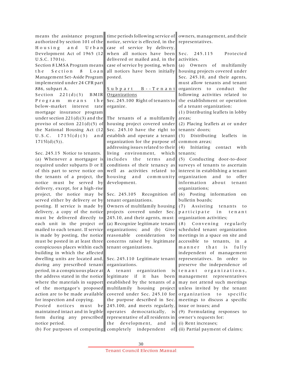|                                                       | means the assistance program time periods following service of owners, management, and their   |                                                                 |
|-------------------------------------------------------|------------------------------------------------------------------------------------------------|-----------------------------------------------------------------|
|                                                       | authorized by section 101 of the notice, service is effected, in the representatives.          |                                                                 |
| and<br>$U$ rban<br>Housing                            | case of service by delivery,                                                                   |                                                                 |
| Development Act of 1965 (12                           | when all notices have been Sec. 245.115                                                        | Protected                                                       |
| U.S.C. 1701s).                                        | delivered or mailed and, in the                                                                | activities.                                                     |
| Section 8 LMSA Program means                          | case of service by posting, when                                                               | (a)<br>Owners of multifamily                                    |
| Section<br>8<br>Loan<br>t h e                         |                                                                                                | all notices have been initially housing projects covered under  |
| Management Set-Aside Program                          | posted.                                                                                        | Sec. 245.10, and their agents,                                  |
| implemented under 24 CFR part                         |                                                                                                | must allow tenants and tenant                                   |
| 886, subpart A.                                       | Subpart<br>$B - T$ enant                                                                       | organizers to conduct<br>the                                    |
| Section $221(d)(3)$<br><b>BMIR</b>                    | Organizations                                                                                  | following activities related to                                 |
| t h e<br>Program<br>means                             |                                                                                                | Sec. 245.100 Right of tenants to the establishment or operation |
| below-market<br>interest                              |                                                                                                | of a tenant organization:                                       |
| rate                                                  | organize.                                                                                      |                                                                 |
| mortgage insurance program                            |                                                                                                | (1) Distributing leaflets in lobby                              |
| under section $221(d)(3)$ and the                     | The tenants of a multifamily                                                                   | areas;                                                          |
|                                                       | proviso of section 221(d)(5) of housing project covered under (2) Placing leaflets at or under |                                                                 |
| the National Housing Act (12                          | Sec. 245.10 have the right to tenants' doors;                                                  |                                                                 |
| U.S.C. 1715l(d)(3)<br>and                             | establish and operate a tenant $(3)$ Distributing                                              | leaflets<br>in                                                  |
| 1715l(d(5)).                                          | organization for the purpose of common areas;                                                  |                                                                 |
|                                                       | addressing issues related to their $(4)$                                                       | Initiating<br>with<br>contact                                   |
| Sec. 245.15 Notice to tenants.                        | living environment,                                                                            | which tenants;                                                  |
| (a) Whenever a mortgagor is includes                  | the<br>terms                                                                                   | and (5) Conducting door-to-door                                 |
| required under subparts $D$ or $E$                    |                                                                                                | conditions of their tenancy as surveys of tenants to ascertain  |
| of this part to serve notice on                       |                                                                                                | well as activities related to interest in establishing a tenant |
| the tenants of a project, the housing                 | and community organization                                                                     | and<br>offer<br>to                                              |
| notice must be served<br>by                           | development.                                                                                   | information<br>about<br>tenant                                  |
| delivery, except, for a high-rise                     |                                                                                                | organizations;                                                  |
|                                                       | project, the notice may be Sec. 245.105 Recognition of $(6)$ Posting information               | on                                                              |
| served either by delivery or by tenant organizations. |                                                                                                | bulletin boards;                                                |
|                                                       | posting. If service is made by Owners of multifamily housing $(7)$ Assisting                   | tenants<br>to                                                   |
|                                                       | delivery, a copy of the notice projects covered under Sec. participate                         | i n<br>tenant                                                   |
|                                                       | must be delivered directly to 245.10, and their agents, must: organization activities;         |                                                                 |
|                                                       | each unit in the project or (a) Recognize legitimate tenant (8) Convening                      | regularly                                                       |
|                                                       | mailed to each tenant. If service organizations; and (b) Give scheduled tenant organization    |                                                                 |
|                                                       | is made by posting, the notice reasonable consideration to meetings in a space on site and     |                                                                 |
|                                                       | must be posted in at least three concerns raised by legitimate accessible                      | to<br>tenants,<br>in<br>a                                       |
| conspicuous places within each tenant organizations.  |                                                                                                | that<br>i s<br>fully<br>manner                                  |
| building in which the affected                        |                                                                                                | independent of management                                       |
| dwelling units are located and,                       |                                                                                                | Sec. 245.110 Legitimate tenant representatives. In order to     |
| during any prescribed tenant                          | organizations.                                                                                 | preserve the independence of                                    |
| period, in a conspicuous place at                     | tenant<br>$\mathbf{A}$<br>organization                                                         | is tenant<br>organizations,                                     |
| the address stated in the notice                      | legitimate<br>if<br>it<br>has                                                                  | been management<br>representatives                              |
|                                                       |                                                                                                | established by the tenants of a may not attend such meetings    |
| where the materials in support                        |                                                                                                |                                                                 |
| of the mortgagor's proposed                           |                                                                                                | multifamily housing project unless invited by the tenant        |
| action are to be made available                       | covered under Sec. 245.10 for organization                                                     | t o<br>specific                                                 |
| for inspection and copying.                           |                                                                                                | the purpose described in Sec. meetings to discuss a specific    |
| Posted<br>notices<br>must<br>be                       | 245.100, and meets regularly, issue or issues; and                                             |                                                                 |
| maintained intact and in legible                      | operates<br>democratically,                                                                    | is (9) Formulating responses to                                 |
| during any prescribed<br>form                         | representative of all residents in                                                             | owner's requests for:                                           |
| notice period.                                        | the<br>development,<br>and                                                                     | is (i) Rent increases;                                          |
| (b) For purposes of computing completely independent  |                                                                                                | of (ii) Partial payment of claims;                              |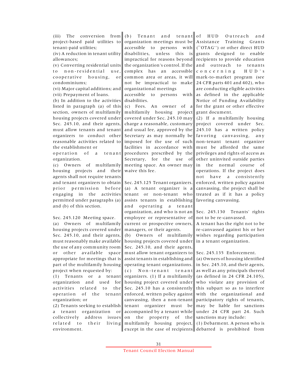|                                                       | (iii) The conversion from (b) Tenant and tenant of               |                |
|-------------------------------------------------------|------------------------------------------------------------------|----------------|
| project-based paid utilities to                       | organization meetings must be A                                  |                |
| tenant-paid utilities;                                | accessible to<br>with $($<br>persons                             |                |
| (iv) A reduction in tenant utility                    | disabilities, unless this<br>isl                                 | $g_1$          |
| allowances;                                           | impractical for reasons beyond                                   | re             |
| (v) Converting residential units                      | the organization's control. If the                               | a <sub>1</sub> |
| non-residential<br>t o<br>use,                        | complex has an<br>accessible                                     | $\mathsf C$    |
| cooperative housing,<br>o r                           | common area or areas, it will                                    | m              |
| condominiums;                                         | not be impractical to<br>make                                    | $\mathbf{2}$   |
| (vi) Major capital additions; and                     | organizational meetings                                          | a1             |
| (vii) Prepayment of loans.                            | accessible<br>to persons<br>with                                 | as             |
| (b) In addition to the activities                     | disabilities.                                                    | N              |
| listed in paragraph (a) of this                       | (c)<br>Fees. An owner of<br>a                                    | fc             |
| section, owners of multifamily                        | multifamily housing project                                      | $g_1$          |
| housing projects covered under                        | covered under Sec. 245.10 may                                    | $\frac{2}{2}$  |
| Sec. 245.10, and their agents,                        | charge a reasonable, customary                                   | p <sub>i</sub> |
| must allow tenants and tenant                         | and usual fee, approved by the                                   | 2 <sup>4</sup> |
| organizers to conduct other                           | Secretary as may normally be fa                                  |                |
| reasonable activities related to                      | imposed for the use of such                                      | $\mathbf n$    |
| the establishment or                                  | facilities in accordance with                                    | m              |
| operation<br>of a                                     | tenant procedures prescribed by the                              | p <sub>1</sub> |
| organization.                                         | Secretary, for the use<br>of                                     | O <sub>1</sub> |
| (c)<br>Owners of multifamily                          | meeting space. An owner may                                      | in             |
| housing projects and their                            | waive this fee.                                                  | $\sigma$       |
| agents shall not require tenants                      |                                                                  | n              |
| and tenant organizers to obtain                       | Sec. 245.125 Tenant organizers.                                  | e <sub>1</sub> |
| prior permission before<br>engaging in the activities | (a) A tenant organizer is<br>a<br>tenant or<br>non-tenant<br>who | $C\hat{c}$     |
| permitted under paragraphs (a)                        | assists tenants in establishing                                  | tr<br>fa       |
| and (b) of this section.                              | and<br>operating a tenant                                        |                |
|                                                       | organization, and who is not an So                               |                |
| Sec. 245.120 Meeting space.                           | employee or representative of                                    | $\mathbf n$    |
| (a) Owners of multifamily                             | current or prospective owners,                                   | A              |
| housing projects covered under                        | managers, or their agents.                                       | re             |
| Sec. 245.10, and their agents,                        | (b) Owners of multifamily                                        | W              |
| must reasonably make available                        | housing projects covered under                                   | in             |
| the use of any community room                         | Sec. 245.10, and their agents,                                   |                |
| other<br>available<br>space<br>or                     | must allow tenant organizers to                                  | S <sub>0</sub> |
| appropriate for meetings that is                      | assist tenants in establishing and                               | $(\hat{c}$     |
| part of the multifamily housing                       | operating tenant organizations.                                  | in             |
| project when requested by:                            | Non-tenant<br>(c)<br>tenant                                      | as             |
| (1)<br>Tenants<br>or<br>tenant<br>a                   | organizers. (1) If a multifamily                                 | $(\hat{c}$     |
| organization<br>and<br>used<br>for                    | housing project covered under                                    | W              |
| related<br>activities<br>the<br>to                    | Sec. 245.10 has a consistently                                   | tŀ             |
| operation<br>οf<br>the<br>tenant                      | enforced, written policy against                                 | W              |
| organization; or                                      | canvassing, then a non-tenant                                    | p              |
| (2) Tenants seeking to establish                      | tenant<br>organizer<br>must<br>be                                | m              |
| tenant<br>organization<br>or<br>a                     | accompanied by a tenant while                                    | u.             |
| collectively<br>address<br>issues                     | the<br>οf<br>th e<br>on<br>property                              | Sĉ             |
| related<br>their<br>living<br>t o                     | multifamily<br>housing<br>project,                               | $\left($ 1     |
| environment.                                          | except in the case of recipients do                              |                |

f HUD Outreach and ssistance Training Grants (``OTAG'') or other direct HUD rants designed to enable ecipients to provide education and outreach to tenants concerning HUD's ark-to-market program (see 24 CFR parts 401 and 402), who re conducting eligible activities s defined in the applicable otice of Funding Availability or the grant or other effective rant document.

(2) If a multifamily housing roject covered under Sec. 245.10 has a written policy ivoring canvassing, any non-tenant tenant organizer ust be afforded the same privileges and rights of access as ther uninvited outside parties in the normal course of perations. If the project does ot have a consistently enforced, written policy against anvassing, the project shall be eated as if it has a policy voring canvassing.

ec. 245.130 Tenants' rights ot to be re-canvassed.

tenant has the right not to be e-canvassed against his or her ishes regarding participation a tenant organization.

ec. 245.135 Enforcement.

a) Owners of housing identified in Sec. 245.10, and their agents, s well as any principals thereof as defined in 24 CFR 24.105), ho violate any provision of his subpart so as to interfere ith the organizational and articipatory rights of tenants, ay be liable for sanctions nder 24 CFR part 24. Such sanctions may include:

(1) Debarment. A person who is debarred is prohibited from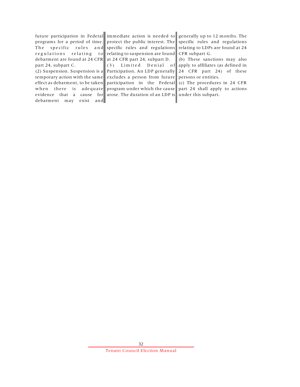debarment are found at 24 CFR at 24 CFR part 24, subpart D. part 24, subpart C.

temporary action with the same excludes a person from future debarment may exist and

future participation in Federal immediate action is needed to generally up to 12 months. The programs for a period of time. protect the public interest. The specific rules and regulations The specific rules and specific rules and regulations relating to LDPs are found at 24 regulations relating to relating to suspension are found CFR subpart G.

(2) Suspension. Suspension is a Participation. An LDP generally 24 CFR part 24) of these effect as debarment, to be taken || participation in the Federal (c) The procedures in 24 CFR when there is adequate program under which the cause part 24 shall apply to actions evidence that a cause for arose. The duration of an LDP is under this subpart. (3) Limited Denial

(b) These sanctions may also of apply to affiliates (as defined in persons or entities.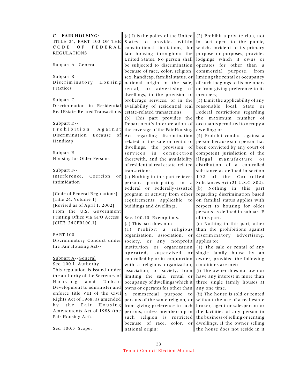| C. FAIR HOUSING:                                      |                                                       | (a) It is the policy of the United $(2)$ Prohibit a private club, not |
|-------------------------------------------------------|-------------------------------------------------------|-----------------------------------------------------------------------|
| TITLE 24, PART 100 OF THE                             | States<br>to                                          | provide, within in fact open to the public,                           |
| FEDERAL<br>CODE<br>O F                                |                                                       | constitutional limitations, for which, incident to its primary        |
| <b>REGULATIONS</b>                                    |                                                       | fair housing throughout the purpose or purposes, provides             |
|                                                       | United States. No person shall lodgings which it owns | or                                                                    |
| Subpart A--General                                    | be subjected to discrimination                        | operates for other than<br>a                                          |
|                                                       | because of race, color, religion,                     | commercial purpose,<br>from                                           |
| Subpart B--                                           |                                                       | sex, handicap, familial status, or limiting the rental or occupancy   |
| Discriminatory<br>Housing                             | national origin in the sale,                          | of such lodgings to its members                                       |
| Practices                                             | advertising<br>rental,<br>or<br>οf                    | or from giving preference to its                                      |
|                                                       | dwellings, in the provision of                        | members;                                                              |
| Subpart C--                                           | brokerage services, or in the                         | (3) Limit the applicability of any                                    |
| Discrimination in Residential                         | availability of residential real                      | reasonable<br>local,<br>State<br>or                                   |
| Real Estate-Related Transactions                      | estate-related transactions.                          | Federal restrictions regarding                                        |
|                                                       | This part provides the<br>(b)                         | the<br>maximum<br>number<br>οf                                        |
| Subpart D--                                           | Department's interpretation of                        | occupants permitted to occupy a                                       |
| Prohibition<br>Against                                | the coverage of the Fair Housing                      | dwelling; or                                                          |
| Discrimination<br>Because<br>οf                       |                                                       | Act regarding discrimination (4) Prohibit conduct against a           |
| Handicap                                              |                                                       | related to the sale or rental of person because such person has       |
|                                                       | dwellings,<br>provision<br>the                        | of been convicted by any court of                                     |
| Subpart E--                                           | services<br>in                                        | connection competent jurisdiction of the                              |
| Housing for Older Persons                             | therewith, and the availability illegal               | manufacture<br>o r                                                    |
|                                                       | of residential real estate-related distribution       | of a controlled                                                       |
| Subpart F--                                           | transactions.                                         | substance as defined in section                                       |
| Interference,<br>Coercion<br>or                       | (c) Nothing in this part relieves                     | 102<br>o f<br>the<br>Controlled                                       |
| Intimidation                                          | participating<br>persons<br>in<br>all                 | Substances Act (21 U.S.C. 802).                                       |
|                                                       | or Federally-assisted<br>Federal                      | (b)<br>Nothing<br>in<br>this<br>part                                  |
| [Code of Federal Regulations]<br>[Title 24, Volume 1] |                                                       | program or activity from other regarding discrimination based         |
| [Revised as of April 1, 2002]                         | requirements<br>applicable                            | to on familial status applies with                                    |
| From the U.S. Government                              | buildings and dwellings.                              | respect to housing for older                                          |
| Printing Office via GPO Access                        |                                                       | persons as defined in subpart E                                       |
| [CITE: 24CFR100.1]                                    | Sec. 100.10 Exemptions.<br>(a) This part does not:    | of this part.<br>(c) Nothing in this part, other                      |
|                                                       | Prohibit<br>a<br>religious<br>(1)                     | than the prohibitions against                                         |
| PART 100--                                            | organization,<br>association,<br>orl                  | discriminatory<br>advertising,                                        |
| Discriminatory Conduct under                          | society,<br>or<br>any                                 | nonprofit applies to:                                                 |
| the Fair Housing Act--                                |                                                       | institution or organization (1) The sale or rental of any             |
|                                                       | operated, supervised                                  | or single family house by an                                          |
| <u> Subpart A</u> -- <u>General</u>                   |                                                       | controlled by or in conjunction owner, provided the following         |
| Sec. 100.1 Authority.                                 | with a religious organization,                        | conditions are met:                                                   |
| This regulation is issued under                       | association, or society, from                         | (i) The owner does not own or                                         |
| the authority of the Secretary of                     |                                                       | limiting the sale, rental or have any interest in more than           |
| Housing<br>Urban<br>and                               | occupancy of dwellings which it                       | three single family houses at                                         |
| Development to administer and                         | owns or operates for other than                       | any one time.                                                         |
| enforce title VIII of the Civil                       | commercial purpose<br>a<br>to                         | (ii) The house is sold or rented                                      |
| Rights Act of 1968, as amended                        | persons of the same religion, or                      | without the use of a real estate                                      |
| by the<br>Fair<br>Housing                             | from giving preference to such                        | broker, agent or salesperson or                                       |
| Amendments Act of 1988 (the                           |                                                       | persons, unless membership in the facilities of any person in         |
| Fair Housing Act).                                    | religion<br>is<br>such                                | restricted the business of selling or renting                         |
|                                                       | of race,<br>color,<br>because                         | or dwellings. If the owner selling                                    |
| Sec. 100.5 Scope.                                     | national origin;                                      | the house does not reside in it                                       |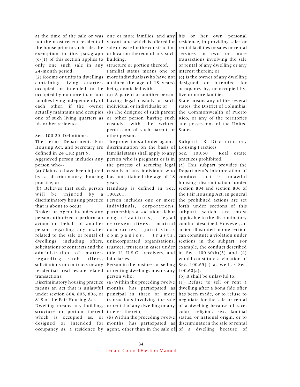| $(c)(1)$ of this section applies to<br>only one such sale in any<br>24-month period.<br>containing<br>living<br>occupied or intended to be being domiciled with--<br>the<br>other, if<br>each<br>his or her residence.                                                                                                                                                                                                                                                                                                                                                                                                                                                        | at the time of the sale or was one or more families, and any his<br>not the most recent resident of vacant land which is offered for residence, in providing sales or<br>the house prior to such sale, the sale or lease for the construction rental facilities or sales or rental<br>exemption in this paragraph or location thereon of any such<br>building,<br>structure or portion thereof.<br>Familial status means one or<br>(2) Rooms or units in dwellings more individuals (who have not<br>quarters attained the age of 18 years)<br>occupied by no more than four $\ $ (a) A parent or another person<br>families living independently of having legal custody of such<br>owner individual or individuals; or<br>actually maintains and occupies (b) The designee of such parent<br>one of such living quarters as or other person having such<br>with<br>the<br>custody,<br>written<br>permission of such parent or                                                                                                                                                                                                                                                                                                         | or her<br>personal<br>own<br>services<br>in<br>two<br>or<br>more<br>transactions involving the sale<br>or rental of any dwelling or any<br>interest therein; or<br>(c) Is the owner of any dwelling<br>or intended<br>designed<br>for<br>occupancy by, or occupied by,<br>five or more families.<br>State means any of the several<br>states, the District of Columbia,<br>the Commonwealth of Puerto<br>Rico, or any of the territories<br>and possessions of the United<br>States.                                                                                                                                                                                                                                                                                                                                                               |
|-------------------------------------------------------------------------------------------------------------------------------------------------------------------------------------------------------------------------------------------------------------------------------------------------------------------------------------------------------------------------------------------------------------------------------------------------------------------------------------------------------------------------------------------------------------------------------------------------------------------------------------------------------------------------------|-----------------------------------------------------------------------------------------------------------------------------------------------------------------------------------------------------------------------------------------------------------------------------------------------------------------------------------------------------------------------------------------------------------------------------------------------------------------------------------------------------------------------------------------------------------------------------------------------------------------------------------------------------------------------------------------------------------------------------------------------------------------------------------------------------------------------------------------------------------------------------------------------------------------------------------------------------------------------------------------------------------------------------------------------------------------------------------------------------------------------------------------------------------------------------------------------------------------------------------------|----------------------------------------------------------------------------------------------------------------------------------------------------------------------------------------------------------------------------------------------------------------------------------------------------------------------------------------------------------------------------------------------------------------------------------------------------------------------------------------------------------------------------------------------------------------------------------------------------------------------------------------------------------------------------------------------------------------------------------------------------------------------------------------------------------------------------------------------------|
| Sec. 100.20 Definitions.<br>The terms Department, Fair<br>Housing Act, and Secretary are<br>defined in 24 CFR part 5.<br>Aggrieved person includes any<br>person who--<br>(a) Claims to have been injured<br>by a discriminatory housing<br>practice; or<br>(b) Believes that such person<br>injured<br>b y<br>will<br>b e<br>a<br>that is about to occur.<br>Broker or Agent includes any<br>person authorized to perform an<br>action on behalf of another representatives,<br>related to the sale or rental of $\ $ c o m p a n i e s,<br>including<br>offers,<br>dwellings,<br>administration<br>οf<br>regarding<br>such<br>transactions.<br>818 of the Fair Housing Act. | other person.<br>The protections afforded against<br>discrimination on the basis of<br>familial status shall apply to any<br>person who is pregnant or is in<br>the process of securing legal<br>custody of any individual who<br>has not attained the age of 18<br>years.<br>Handicap is defined in Sec.<br>100.201.<br>discriminatory housing practice Person includes one or more the prohibited actions are set<br>individuals,<br>corporations,<br>partnerships, associations, labor<br>organizations, legal<br>mutual<br>person regarding any matter companies, joint-stock<br>trusts,<br>unincorporated organizations,<br>solicitations or contracts and the trustees, trustees in cases under example, the conduct described<br>matters title 11 U.S.C., receivers, and in Sec. $100.60(b)(3)$ and (4)<br>offers, fiduciaries.<br>solicitations or contracts or any Person in the business of selling<br>residential real estate-related or renting dwellings means any<br>person who:<br>Discriminatory housing practice $\parallel$ (a) Within the preceding twelve<br>means an act that is unlawful months, has participated as<br>under section 804, 805, 806, or principal in three or more has been made, or to refuse to | Subpart B--Discriminatory<br><b>Housing Practices</b><br>100.50<br>Sec.<br>Real<br>estate<br>practices prohibited.<br>(a) This subpart provides the<br>Department's interpretation of<br>conduct<br>that<br>is<br>unlawful<br>housing discrimination under<br>section 804 and section 806 of<br>the Fair Housing Act. In general<br>forth under sections of this<br>subpart<br>which<br>are<br>most<br>applicable to the discriminatory<br>conduct described. However, an<br>action illustrated in one section<br>can constitute a violation under<br>sections in the subpart. For<br>would constitute a violation of<br>Sec. $100.65(a)$ as well as Sec.<br>$100.60(a)$ .<br>(b) It shall be unlawful to:<br>(1) Refuse to sell or rent a<br>dwelling after a bona fide offer<br>transactions involving the sale negotiate for the sale or rental |
| Dwelling means any building,<br>structure or portion thereof interest therein;<br>which is occupied<br>as,<br>designed<br>intended<br>or                                                                                                                                                                                                                                                                                                                                                                                                                                                                                                                                      | or rental of any dwelling or any<br>or (b) Within the preceding twelve status, or national origin, or to<br>for months, has participated as discriminate in the sale or rental<br>occupancy as, a residence by agent, other than in the sale of of a                                                                                                                                                                                                                                                                                                                                                                                                                                                                                                                                                                                                                                                                                                                                                                                                                                                                                                                                                                                    | of a dwelling because of race,<br>color, religion, sex, familial<br>dwelling<br>because<br>οf                                                                                                                                                                                                                                                                                                                                                                                                                                                                                                                                                                                                                                                                                                                                                      |

Tenant Council Election Manual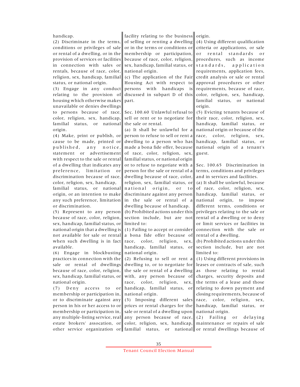handicap.

(2) Discriminate in the terms, conditions or privileges of sale or rental of a dwelling, or in the provision of services or facilities in connection with sales or rentals, because of race, color, religion, sex, handicap, familial status, or national origin.

(3) Engage in any conduct relating to the provision of housing which otherwise makes unavailable or denies dwellings

to persons because of race, color, religion, sex, handicap, familial status, or national origin.

(4) Make, print or publish, or cause to be made, printed or published, any notice, statement or advertisement with respect to the sale or rental of a dwelling that indicates any preference, limitation or discrimination because of race, color, religion, sex, handicap, familial status, or national origin, or an intention to make any such preference, limitation or discrimination.

(5) Represent to any person because of race, color, religion, sex, handicap, familial status, or national origin that a dwelling is not available for sale or rental when such dwelling is in fact available.

(6) Engage in blockbusting practices in connection with the sale or rental of dwellings because of race, color, religion, sex, handicap, familial status, or national origin.

(7) Deny access to or membership or participation in, or to discriminate against any person in his or her access to or membership or participation in, any multiple-listing service, real facility relating to the business origin.

of selling or renting a dwelling (4) Using different qualification or in the terms or conditions or criteria or applications, or sale membership or participation, or rental standards or because of race, color, religion, procedures, such as income sex, handicap, familial status, or standards, application national origin.

(c) The application of the Fair credit analysis or sale or rental Housing Act with respect to approval procedures or other persons with handicaps is requirements, because of race, discussed in subpart D of this color, religion, sex, handicap, part.

Sec. 100.60 Unlawful refusal to (5) Evicting tenants because of sell or rent or to negotiate for their race, color, religion, sex, the sale or rental.

(a) It shall be unlawful for a national origin or because of the person to refuse to sell or rent a race, color, religion, sex, dwelling to a person who has handicap, familial status, or made a bona fide offer, because national origin of a tenant's of race, color, religion, sex, guest. familial status, or national origin or to refuse to negotiate with a Sec. 100.65 Discrimination in person for the sale or rental of a $\|$  terms, conditions and privileges dwelling because of race, color, and in services and facilities. religion, sex, familial status, or (a) It shall be unlawful, because national origin, or to of race, color, religion, sex, discriminate against any person handicap, familial status, or in the sale or rental of a national origin, to impose dwelling because of handicap. (b) Prohibited actions under this privileges relating to the sale or section include, but are not rental of a dwelling or to deny limited to:

(1) Failing to accept or consider connection with the sale or a bona fide offer because of rental of a dwelling. race, color, religion, sex, (b) Prohibited actions under this handicap, familial status, or section include, but are not national origin.

(2) Refusing to sell or rent a (1) Using different provisions in dwelling to, or to negotiate for leases or contracts of sale, such the sale or rental of a dwelling as those relating to rental with, any person because of charges, security deposits and race, color, religion, sex, the terms of a lease and those handicap, familial status, or relating to down payment and national origin.

(3) Imposing different sales race, color, religion, sex, prices or rental charges for the handicap, familial status, or sale or rental of a dwelling upon national origin.

estate brokers' assocation, or color, religion, sex, handicap, maintenance or repairs of sale

requirements, application fees, familial status, or national origin.

handicap, familial status, or

different terms, conditions or or limit services or facilities in

limited to:

closing requirements, because of

other service organization or familial status, or national or rental dwellings because ofany person because of race, (2) Failing or delaying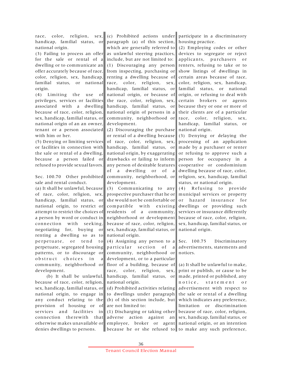race, color, religion, sex, handicap, familial status, or national origin.

for the sale or rental of a dwelling or to communicate an offer accurately because of race, color, religion, sex, handicap, familial status, or national origin.

(4) Limiting the use of privileges, services or facilities associated with a dwelling because of race, color, religion, sex, handicap, familial status, or national origin of an an owner, tenant or a person associated with him or her.

(5) Denying or limiting services or facilities in connection with the sale or rental of a dwelling, because a person failed or refused to provide sexual favors.

Sec. 100.70 Other prohibited sale and rental conduct.

(a) It shall be unlawful, because of race, color, religion, sex, handicap, familial status, or national origin, to restrict or attempt to restrict the choices of a person by word or conduct in connection with seeking, negotiating for, buying or renting a dwelling so as to perpetuate, or tend perpetuate, segregated housing patterns, or to discourage or obstruct choices in a development.

 (b) It shall be unlawful, because of race, color, religion, sex, handicap, familial status, or (d) Prohibited activities relating national origin, to engage in any conduct relating to the (b) of this section include, but provision of housing or of are not limited to: services and facilities in connection therewith that denies dwellings to persons.

(3) Failing to process an offer as unlawful steering practices, (c) Prohibited actions under participate in a discriminatory paragraph (a) of this section, which are generally referred to include, but are not limited to: (1) Discouraging any person from inspecting, purchasing or renting a dwelling because of race, color, religion, sex, handicap, familial status, or national origin, or because of the race, color, religion, sex,

> handicap, familial status, or national origin of persons in a community, neighborhood or development.

> (2) Discouraging the purchase or rental of a dwelling because of race, color, religion, sex, handicap, familial status, or national origin, by exaggerating drawbacks or failing to inform any person of desirable features of a dwelling or of a community, neighborhood, or

development. (3) Communicating to any prospective purchaser that he or she would not be comfortable or

compatible with existing residents of a community, neighborhood or development because of race, color, religion, sex, handicap, familial status, or national origin.

(4) Assigning any person to a particular section of community, neighborhood or development, or to a particular

community, neighborhood or floor of a building, because of race, color, religion, sex, handicap, familial status, or national origin.

to dwellings under paragraph

otherwise makes unavailable or employee, broker or agent national origin, or an intention (1) Discharging or taking other because of race, color, religion, adverse action against an sex, handicap, familial status, or

housing practice.

(2) Employing codes or other devices to segregate or reject applicants, purchasers or renters, refusing to take or to show listings of dwellings in certain areas because of race, color, religion, sex, handicap, familial status, or national origin, or refusing to deal with certain brokers or agents because they or one or more of their clients are of a particular race, color, religion, sex, handicap, familial status, or national origin.

(3) Denying or delaying the processing of an application made by a purchaser or renter or refusing to approve such a person for occupancy in a cooperative or condominium dwelling because of race, color, religion, sex, handicap, familial status, or national origin.

(4) Refusing to provide municipal services or property or hazard insurance for dwellings or providing such services or insurance differently because of race, color, religion, sex, handicap, familial status, or national origin.

Sec. 100.75 Discriminatory advertisements, statements and notices.

because he or she refused to to make any such preference, (a) It shall be unlawful to make, print or publish, or cause to be made, printed or published, any notice, statement or advertisement with respect to the sale or rental of a dwelling which indicates any preference, limitation or discrimination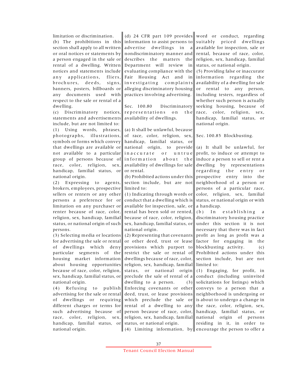limitation or discrimination. (b) The prohibitions in this section shall apply to all written or oral notices or statements by a person engaged in the sale or rental of a dwelling. Written notices and statements include any applications, fliers, brochures, deeds, signs, banners, posters, billboards or any documents used with respect to the sale or rental of a dwelling. (c) Discriminatory notices, statements and advertisements include, but are not limited to: (1) Using words, phrases, photographs, illustrations, symbols or forms which convey that dwellings are available or not available to a particular group of persons because of race, color, religion, sex, handicap, familial status, or national origin. (2) Expressing to agents, brokers, employees, prospective sellers or renters or any other persons a preference for or limitation on any purchaser or renter because of race, color, religion, sex, handicap, familial status, or national origin of such sex, handicap, familial status, or under this section it is not persons. (3) Selecting media or locations for advertising the sale or rental of dwellings which deny particular segments of the housing market information about housing opportunities because of race, color, religion, sex, handicap, familial status, or national origin. (4) Refusing to publish advertising for the sale or rental of dwellings or requiring different charges or terms for such advertising because of race, color, religion, sex, handicap, familial status, or national origin. (d) 24 CFR part 109 provides word or conduct, regarding information to assist persons to suitably priced dwellings advertise dwellings in a available for inspection, sale or nondiscriminatory manner and rental, because of race, color, describes the matters the religion, sex, handicap, familial Department will review in status, or national origin. evaluating compliance with the (5) Providing false or inaccurate Fair Housing Act and in||information regarding the investigating complaints availability of a dwelling for sale alleging discriminatory housing or rental to any person, practices involving advertising. I including testers, regardless of Sec. 100.80 Discriminatory representations on availability of dwellings. (a) It shall be unlawful, because of race, color, religion, sex, Sec. 100.85 Blockbusting. handicap, familial status, or national origin, to provide (a) It shall be unlawful, for inaccurate or information about the induce a person to sell or rent a availability of dwellings for sale dwelling by representations or rental. (b) Prohibited actions under this prospective entry into the section include, but are not neighborhood of a person or limited to: (1) Indicating through words or color, religion, sex, familial conduct that a dwelling which is status, or national origin or with available for inspection, sale, or a handicap. rental has been sold or rented, (b) In establishing a because of race, color, religion, discriminatory housing practice national origin. (2) Representing that covenants profit as long as profit was a or other deed, trust or lease factor for engaging in the provisions which purport to restrict the sale or rental of dwellings because of race, color, section include, but are not religion, sex, handicap, familial limited to: status, or national origin (1) Engaging, for profit, in preclude the sale of rental of a conduct (including uninvited dwelling to a person. Enforcing covenants or other conveys to a person that a deed, trust, or lease provisions|| neighborhood is undergoing or which preclude the sale or is about to undergo a change in rental of a dwelling to any the race, color, religion, sex, person because of race, color, handicap, familial status, or religion, sex, handicap, familial national origin of persons status, or national origin. (4) Limiting information, by encourage the person to offer a whether such person is actually seeking housing, because of the  $rac{r}{r}$  race, color, religion, sex, handicap, familial status, or national origin. untrue profit, to induce or attempt to regarding the entry or persons of a particular race, necessary that there was in fact blockbusting activity. (c) Prohibited actions under this  $(3)$  solicitations for listings) which residing in it, in order to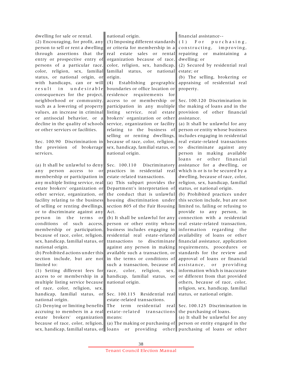| dwelling for sale or rental.<br>(2) Encouraging, for profit, any<br>person to sell or rent a dwelling<br>through assertions that the<br>persons of a particular race,<br>color, religion, sex, familial<br>status, or national origin, or<br>with handicaps, can or will<br>undesirable<br>in<br>result<br>consequences for the project,<br>neighborhood or community, | national origin.<br>$(3)$ Imposing different standards $(1)$<br>or criteria for membership in a constructing,<br>real estate<br>sales or rental repairing or<br>entry or prospective entry of organization because of race,<br>color, religion, sex, handicap,<br>familial<br>status,<br>national<br>or<br>origin.<br>(4) Establishing geographic appraising of residential real<br>boundaries or office location or property.<br>residence<br>requirements<br>for | financial assistance--<br>F o r<br>purchasing,<br>improving,<br>maintaining<br>a<br>dwelling; or<br>(2) Secured by residential real<br>estate; or<br>(b) The selling, brokering or<br>access to or membership or Sec. 100.120 Discrimination in |
|------------------------------------------------------------------------------------------------------------------------------------------------------------------------------------------------------------------------------------------------------------------------------------------------------------------------------------------------------------------------|--------------------------------------------------------------------------------------------------------------------------------------------------------------------------------------------------------------------------------------------------------------------------------------------------------------------------------------------------------------------------------------------------------------------------------------------------------------------|-------------------------------------------------------------------------------------------------------------------------------------------------------------------------------------------------------------------------------------------------|
| such as a lowering of property<br>values, an increase in criminal<br>or antisocial behavior, or a<br>decline in the quality of schools<br>or other services or facilities.                                                                                                                                                                                             | listing<br>brokers' organization or other<br>service, organization or facility<br>relating to the business<br>selling or renting dwellings,                                                                                                                                                                                                                                                                                                                        | participation in any multiple the making of loans and in the<br>service, real estate provision of other financial<br>assistance.<br>(a) It shall be unlawful for any<br>of person or entity whose business                                      |
| Sec. 100.90 Discrimination in<br>of brokerage<br>provision<br>the<br>services.<br>(a) It shall be unlawful to deny                                                                                                                                                                                                                                                     | because of race, color, religion,<br>sex, handicap, familial status, or to<br>national origin.<br>Sec. 100.110<br>Discriminatory                                                                                                                                                                                                                                                                                                                                   | includes engaging in residential<br>real estate-related transactions<br>discriminate against any<br>person in making available<br>other financial<br>loans<br>or<br>assistance for a dwelling, or                                               |
| to<br>or<br>person<br>access<br>any<br>membership or participation in<br>estate brokers' organization or                                                                                                                                                                                                                                                               | practices in<br>residential<br>estate-related transactions.<br>any multiple listing service, real $\parallel$ (a) This subpart provides the religion, sex, handicap, familial<br>Department's interpretation of                                                                                                                                                                                                                                                    | real which is or is to be secured by a<br>dwelling, because of race, color,<br>status, or national origin.                                                                                                                                      |
| other service, organization, or<br>facility relating to the business<br>of selling or renting dwellings,<br>or to discriminate against any<br>the<br>person<br>in<br>terms<br>or                                                                                                                                                                                       | housing discrimination under<br>section 805 of the Fair Housing<br>Act.<br>(b) It shall be unlawful for any                                                                                                                                                                                                                                                                                                                                                        | the conduct that is unlawfull (b) Prohibited practices under<br>this section include, but are not<br>limited to, failing or refusing to<br>provide to any person, in<br>connection with a residential                                           |
| conditions of<br>such<br>access,<br>membership or participation,<br>because of race, color, religion,<br>sex, handicap, familial status, or<br>national origin.                                                                                                                                                                                                        | person or other entity whose<br>business includes engaging in information regarding<br>transactions<br>to                                                                                                                                                                                                                                                                                                                                                          | real estate-related transaction,<br>the<br>residential real estate-related availability of loans or other<br>discriminate financial assistance, application<br>against any person in making requirements, procedures or                         |
| limited to:<br>(1) Setting different fees for race, color, religion,                                                                                                                                                                                                                                                                                                   | (b) Prohibited actions under this available such a transaction, or standards for the review and<br>section include, but are not in the terms or conditions of approval of loans or financial<br>such a transaction, because of assistance,<br>access to or membership in a handicap, familial status, or or different from that provided                                                                                                                           | providing<br>or<br>sex, information which is inaccurate                                                                                                                                                                                         |
| multiple listing service because<br>of race, color, religion, sex,<br>handicap, familial status, or<br>national origin.<br>(2) Denying or limiting benefits                                                                                                                                                                                                            | national origin.<br>Sec. 100.115 Residential real<br>estate-related transactions.<br>residential<br>The<br>term                                                                                                                                                                                                                                                                                                                                                    | others, because of race, color,<br>religion, sex, handicap, familial<br>status, or national origin.<br>real Sec. 100.125 Discrimination in                                                                                                      |
| accruing to members in a real<br>organization<br>estate brokers'<br>sex, handicap, familial status, or loans or                                                                                                                                                                                                                                                        | estate-related transactions the purchasing of loans.<br>means:<br>because of race, color, religion, $\parallel$ (a) The making or purchasing of person or entity engaged in the<br>providing                                                                                                                                                                                                                                                                       | (a) It shall be unlawful for any<br>other purchasing of loans or other                                                                                                                                                                          |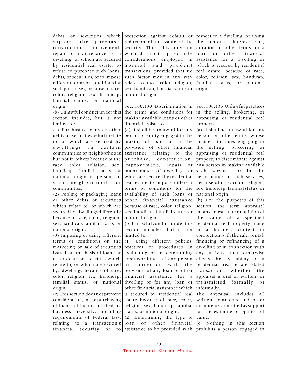debts or securities which support the purchase, construction, improvement, repair or maintenance of a dwelling, or which are secured by residential real estate, to refuse to purchase such loans, debts, or securities, or to impose different terms or conditions for such purchases, because of race, color, religion, sex, handicap, familial status, or national origin.

(b) Unlawful conduct under this section includes, but is not limited to:

(1) Purchasing loans or other debts or securities which relate to, or which are secured by dwellings in certain communities or neighborhoods but not in others because of the race, color, religion, sex, handicap, familial status, or national origin of persons in such neighborhoods or communities.

(2) Pooling or packaging loans or other debts or securities which relate to, or which are secured by, dwellings differently because of race, color, religion, sex, handicap, familial status, or national origin.

(3) Imposing or using different terms or conditions on the marketing or sale of securities issued on the basis of loans or other debts or securities which relate to, or which are secured by, dwellings because of race, color, religion, sex, handicap, familial status, or national origin.

(c) This section does not prevent consideration, in the purchasing of loans, of factors justified by business necessity, including requirements of Federal law,

protection against default or respect to a dwelling, or fixing reduction of the value of the the amount, interest rate, security. Thus, this provision duration or other terms for a would not preclude loan or other financial considerations employed in assistance for a dwelling or normal and prudent which is secured by residential transactions, provided that no real estate, because of race, such factor may in any way color, religion, sex, handicap, relate to race, color, religion, familial status, or national sex, handicap, familial status orworigin. national origin.

Sec. 100.130 Discrimination in Sec. 100.135 Unlawful practices the terms and conditions for in the selling, brokering, or making available loans or other|| appraising of residential real financial assistance.

(a) It shall be unlawful for any (a) It shall be unlawful for any person or entity engaged in the person or other entity whose making of loans or in the business includes engaging in provision of other financial the selling, brokering or assistance relating to the appraising of residential real purchase, construction, property to discriminate against improvement, repair or any person in making available maintenance of dwellings or such services, or in the which are secured by residential performance of such services, real estate to impose different because of race, color, religion, terms or conditions for the sex, handicap, familial status, or availability of such loans or national origin. other financial assistance (b) For the purposes of this because of race, color, religion, section, the term appraisal sex, handicap, familial status, or means an estimate or opinion of national origin.

(b) Unlawful conduct under this residential real property made section includes, but is not**h** in a business context in limited to:

(1) Using different policies, financing or refinancing of a practices or procedures in dwelling or in connection with evaluating or in determining any activity that otherwise creditworthiness of any person affects the availability of a in connection with the residential real estate-related provision of any loan or other transaction, whether the financial assistance for a appraisal is oral or written, or dwelling or for any loan or transmitted formally or other financial assistance which informally.

is secured by residential real The appraisal includes all estate because of race, color, written comments and other religion, sex, handicap, familial documents submitted as support status, or national origin.  $(2)$  Determining the type of value.

property.

the value of a specified connection with the sale, rental,

for the estimate or opinion of

relating to a transaction's||loan or other financial||(c) Nothing in this section financial security or to assistance to be provided with prohibits a person engaged in

39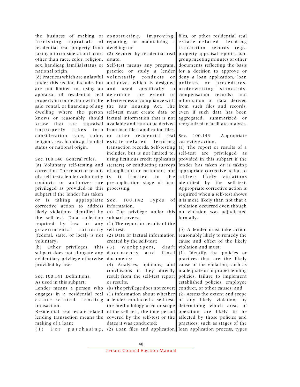| the business of making                                | or constructing, improving, files, or other residential real                                                                                                 |                                                                       |
|-------------------------------------------------------|--------------------------------------------------------------------------------------------------------------------------------------------------------------|-----------------------------------------------------------------------|
| appraisals<br>furnishing                              | of repairing, or maintaining a estate-related                                                                                                                | lending                                                               |
| residential real property from dwelling; or           |                                                                                                                                                              | records<br>transaction<br>(e.g.,                                      |
|                                                       | taking into consideration factors $(2)$ Secured by residential real property appraisal reports, loan                                                         |                                                                       |
| other than race, color, religion,                     | estate.                                                                                                                                                      | group meeting minutes or other                                        |
|                                                       | sex, handicap, familial status, or Self-test means any program,                                                                                              | documents reflecting the basis                                        |
| national origin.                                      |                                                                                                                                                              | practice or study a lender for a decision to approve or               |
| (d) Practices which are unlawful voluntarily conducts |                                                                                                                                                              | or deny a loan application, loan                                      |
|                                                       | under this section include, but authorizes which is designed policies or procedures,                                                                         |                                                                       |
| are not limited to, using an and used specifically    |                                                                                                                                                              | to underwriting<br>standards,                                         |
| appraisal of residential real determine               | the<br>extent                                                                                                                                                | or compensation records)<br>and                                       |
|                                                       | property in connection with the effectiveness of compliance with information or data derived                                                                 |                                                                       |
|                                                       | sale, rental, or financing of any the Fair Housing Act. The from such files and records,                                                                     |                                                                       |
|                                                       | dwelling where the person self-test must create data or even if such data has been                                                                           |                                                                       |
|                                                       | knows or reasonably should factual information that is not aggregated, summarized                                                                            | - or                                                                  |
| that<br>the<br>know                                   | appraisal available and cannot be derived reorganized to facilitate analysis.                                                                                |                                                                       |
| takes<br>improperly                                   | in to from loan files, application files,                                                                                                                    |                                                                       |
| consideration<br>race,                                | color, or other residential real Sec.                                                                                                                        | Appropriate<br>100.143                                                |
|                                                       | religion, sex, handicap, familial estate-related lending corrective action.                                                                                  |                                                                       |
| status or national origin.                            |                                                                                                                                                              | transaction records. Self-testing $\ $ (a) The report or results of a |
|                                                       | includes, but is not limited to, self-test                                                                                                                   | are<br>privileged<br>as                                               |
| Sec. 100.140 General rules.                           |                                                                                                                                                              | using fictitious credit applicants provided in this subpart if the    |
|                                                       | (a) Voluntary self-testing and (testers) or conducting surveys lender has taken or is taking                                                                 |                                                                       |
|                                                       | correction. The report or results of applicants or customers, nor appropriate corrective action to                                                           |                                                                       |
| of a self-test a lender voluntarily is                | it<br>limited<br>$\tau$                                                                                                                                      | the address likely violations                                         |
| conducts                                              | or authorizes are pre-application stage of loan identified by the self-test.                                                                                 |                                                                       |
| privileged as provided in this processing.            |                                                                                                                                                              | Appropriate corrective action is                                      |
| subpart if the lender has taken                       |                                                                                                                                                              | required when a self-test shows                                       |
| appropriate Sec.<br>is<br>taking<br>or                | 100.142<br>Types                                                                                                                                             | of it is more likely than not that a                                  |
| corrective action to address information.             |                                                                                                                                                              | violation occurred even though                                        |
|                                                       | likely violations identified by $\ $ (a) The privilege under this                                                                                            | no violation was adjudicated                                          |
| the self-test. Data collection subpart covers:        |                                                                                                                                                              | formally.                                                             |
| law<br>required<br>$-{\rm b}$ y<br>or                 | any $(1)$ The report or results of the                                                                                                                       |                                                                       |
| governmental authority self-test;                     |                                                                                                                                                              | (b) A lender must take action                                         |
|                                                       | (federal, state, or local) is not (2) Data or factual information reasonably likely to remedy the                                                            |                                                                       |
| voluntary.                                            | created by the self-test;                                                                                                                                    | cause and effect of the likely                                        |
| privileges.<br>(b)<br>Other                           | This $(3)$ Workpapers,                                                                                                                                       | draft violation and must:                                             |
| subpart does not abrogate any documents               | a n d                                                                                                                                                        | final (1) Identify the policies or                                    |
| evidentiary privilege otherwise documents;            |                                                                                                                                                              | practices that are the likely                                         |
| provided by law.                                      | (4) Analyses,                                                                                                                                                | opinions, and cause of the violation, such as                         |
|                                                       |                                                                                                                                                              | conclusions if they directly inadequate or improper lending           |
| Sec. 100.141 Definitions.                             |                                                                                                                                                              | result from the self-test report policies, failure to implement       |
| As used in this subpart:                              | or results.                                                                                                                                                  | established policies, employee                                        |
|                                                       | Lender means a person who (b) The privilege does not cover: conduct, or other causes; and                                                                    |                                                                       |
| estate-related                                        | engages in a residential real (1) Information about whether (2) Assess the extent and scope<br>$\lvert \cdot \rvert$ lending a lender conducted a self-test, | of any likely violation, by                                           |
| transaction.                                          | the methodology used or scope                                                                                                                                | determining which areas<br>- of                                       |
|                                                       | Residential real estate-related of the self-test, the time period                                                                                            | operation are likely to<br>be                                         |
|                                                       | lending transaction means the covered by the self-test or the                                                                                                | affected by those policies and                                        |
| making of a loan:                                     | dates it was conducted;                                                                                                                                      | practices, such as stages of the                                      |
|                                                       | (1) For purchasing, (2) Loan files and application loan application process, types                                                                           |                                                                       |
|                                                       |                                                                                                                                                              |                                                                       |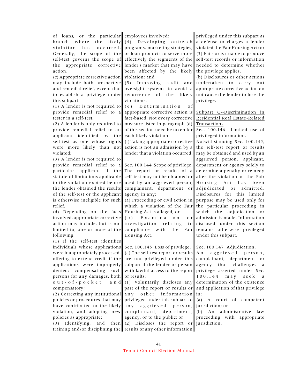| of loans, or the particular employees involved;       |                                                                                                | privileged under this subpart as                                   |
|-------------------------------------------------------|------------------------------------------------------------------------------------------------|--------------------------------------------------------------------|
| the<br>likely<br>branch<br>where                      | (4)<br>Developing<br>outreach                                                                  | a defense to charges a lender                                      |
| violation<br>has<br>occurred.                         | programs, marketing strategies,                                                                | violated the Fair Housing Act; or                                  |
| Generally, the scope of the                           | or loan products to serve more                                                                 | (3) Fails or is unable to produce                                  |
| self-test governs the scope of                        | effectively the segments of the                                                                | self-test records or information                                   |
| appropriate<br>corrective<br>the                      | lender's market that may have                                                                  | needed to determine whether                                        |
| action.                                               | been affected by the likely                                                                    | the privilege applies.                                             |
| (c) Appropriate corrective action                     | violation; and                                                                                 | (b) Disclosures or other actions                                   |
| may include both prospective                          | (5)<br>audit<br>Improving<br>and                                                               | undertaken<br>to<br>carry<br>out                                   |
| and remedial relief, except that                      | oversight systems to avoid a                                                                   | appropriate corrective action do                                   |
| to establish a privilege under                        | of<br>the<br>likely<br>recurrence                                                              | not cause the lender to lose the                                   |
| this subpart:                                         | violations.                                                                                    | privilege.                                                         |
| (1) A lender is not required to                       | (e)<br>Determination<br>οt                                                                     |                                                                    |
| provide remedial relief to a                          | appropriate corrective action is                                                               | Subpart C--Discrimination in                                       |
| tester in a self-test;                                | fact-based. Not every corrective                                                               | Residential Real Estate-Related                                    |
| (2) A lender is only required to                      | measure listed in paragraph (d)                                                                | Transactions                                                       |
| provide remedial relief to an                         | of this section need be taken for                                                              | Limited use of<br>Sec. 100.146                                     |
| applicant identified<br>by<br>the                     | each likely violation.                                                                         | privileged information.                                            |
| self-test as one whose rights                         | (f) Taking appropriate corrective                                                              | Notwithstanding Sec. 100.145,                                      |
| were more likely than not                             | action is not an admission by a                                                                | the self-test report or results                                    |
| violated;                                             | lender that a violation occurred.                                                              | may be obtained and used by an                                     |
| (3) A lender is not required to                       |                                                                                                | aggrieved person, applicant,                                       |
| provide remedial relief to a                          | Sec. 100.144 Scope of privilege.                                                               | department or agency solely to                                     |
| applicant if the<br>particular                        | The report or results of a                                                                     | determine a penalty or remedy                                      |
| statute of limitations applicable                     | self-test may not be obtained or                                                               | after the violation of the Fair                                    |
| to the violation expired before                       | used by an aggrieved person,                                                                   | Housing<br>Act<br>has<br>been                                      |
| the lender obtained the results                       | complainant, department<br>or                                                                  | adjudicated or<br>admitted.                                        |
| of the self-test or the applicant                     | agency in any:                                                                                 | Disclosures for this<br>limited                                    |
| is otherwise ineligible for such                      | (a) Proceeding or civil action in                                                              | purpose may be used only for                                       |
| relief.                                               | which a violation of the Fair                                                                  | the particular proceeding in                                       |
| (d) Depending on the facts                            | Housing Act is alleged; or                                                                     | adjudication<br>which<br>the<br>or                                 |
| involved, appropriate corrective                      | (b)<br>Examination<br>o r                                                                      | admission is made. Information                                     |
| action may include, but is not                        | investigation<br>relating<br>t o                                                               | disclosed under this section                                       |
| limited to, one or more of the                        | compliance<br>the<br>with<br>Fair                                                              | remains otherwise privileged                                       |
| following:                                            | Housing Act.                                                                                   | under this subpart.                                                |
| (1) If the self-test identifies                       |                                                                                                |                                                                    |
|                                                       | individuals whose applications Sec. 100.145 Loss of privilege. Sec. 100.147 Adjudication       |                                                                    |
|                                                       | were inappropriately processed,    (a) The self-test report or results    An aggrieved person, |                                                                    |
|                                                       | offering to extend credit if the $\alpha$ are not privileged under this complainant,           | department<br>or                                                   |
|                                                       | applications were improperly subpart if the lender or person agency that challenges            | a a                                                                |
| denied; compensating                                  | such with lawful access to the report privilege asserted under Sec.                            |                                                                    |
| persons for any damages, both or results:             |                                                                                                | 100.144<br>may seek<br>a                                           |
| out-of-pocket                                         | a n d  (1) Voluntarily discloses any   determination of the existence                          |                                                                    |
| compensatory;                                         |                                                                                                | part of the report or results or and application of that privilege |
|                                                       | (2) Correcting any institutional any other information                                         | in:                                                                |
|                                                       | policies or procedures that may privileged under this subpart to $\parallel$ (a)               | A court of competent                                               |
| have contributed to the likely $\alpha$ any aggrieved |                                                                                                | person, jurisdiction; or                                           |
|                                                       | violation, and adopting new complainant, department, (b) An administrative                     | la w                                                               |
| policies as appropriate;                              | agency, or to the public; or                                                                   | proceeding with appropriate                                        |
| $(3)$ Identifying,                                    | and then $(2)$ Discloses the report or jurisdiction.                                           |                                                                    |
|                                                       | training and/or disciplining the results or any other information                              |                                                                    |

41

L,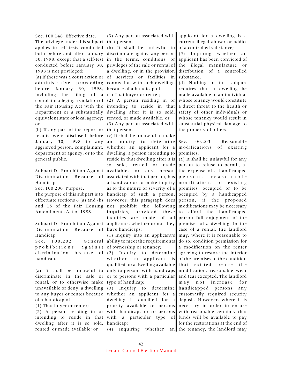Sec. 100.148 Effective date. The privilege under this subpart that person. applies to self-tests conducted (b) It shall be unlawful to both before and after January discriminate against any person 30, 1998, except that a self-test conducted before January 30, 1998 is not privileged: (a) If there was a court action or administrative proceeding before January 30, 1998, including the filing of a complaint alleging a violation of the Fair Housing Act with the Department or a substantially equivalent state or local agency; or (b) If any part of the report or results were disclosed before January 30, 1998 to any aggrieved person, complainant, department or agency, or to the general public. Subpart D--Prohibition Against Discrimination Because of Handicap Sec. 100.200 Purpose. The purpose of this subpart is to effectuate sections 6 (a) and (b) and 15 of the Fair Housing Amendments Act of 1988. Subpart D--Prohibition Against Discrimination Because of Handicap  $Sec. 100.202$ prohibitions against discrimination because of handicap. (a) It shall be unlawful to discriminate in the sale or rental, or to otherwise make unavailable or deny, a dwelling to any buyer or renter because of a handicap of-- (1) That buyer or renter; (2) A person residing in or with handicaps or to persons intending to reside in that dwelling after it is so sold, handicap; rented, or made available; or (3) Any person associated with in the terms, conditions, or privileges of the sale or rental of a dwelling, or in the provision of services or facilities in connection with such dwelling, because of a handicap of-- (1) That buyer or renter; (2) A person residing in or intending to reside in that dwelling after it is so sold, rented, or made available; or (3) Any person associated with that person. (c) It shall be unlawful to make an inquiry to determine whether an applicant for a dwelling, a person intending to reside in that dwelling after it is so sold, rented or made available, or any person associated with that person, has a handicap or to make inquiry as to the nature or severity of a handicap of such a person. However, this paragraph does not prohibit the following inquiries, provided these inquiries are made of all applicants, whether or not they have handicaps: (1) Inquiry into an applicant's General ability to meet the requirements of ownership or tenancy; (2) Inquiry to determine whether an applicant is qualified for a dwelling available only to persons with handicaps or to persons with a particular type of handicap; (3) Inquiry to determine whether an applicant for a dwelling is qualified for a priority available to persons with a particular type of (4) Inquiring whether an the tenancy, the landlord may applicant for a dwelling is a current illegal abuser or addict of a controlled substance; (5) Inquiring whether an applicant has been convicted of the illegal manufacture or distribution of a controlled substance. (d) Nothing in this subpart requires that a dwelling be made available to an individual whose tenancy would constitute a direct threat to the health or safety of other individuals or whose tenancy would result in substantial physical damage to the property of others. Sec. 100.203 Reasonable modifications of existing premises. (a) It shall be unlawful for any person to refuse to permit, at the expense of a handicapped person, reasonable modifications of existing premises, occupied or to be occupied by a handicapped person, if the proposed modifications may be necessary to afford the handicapped person full enjoyment of the premises of a dwelling. In the case of a rental, the landlord may, where it is reasonable to do so, condition permission for a modification on the renter agreeing to restore the interior of the premises to the condition that existed before the modification, reasonable wear and tear excepted. The landlord may not increase for handicapped persons any customarily required security deposit. However, where it is necessary in order to ensure with reasonable certainty that funds will be available to pay for the restorations at the end of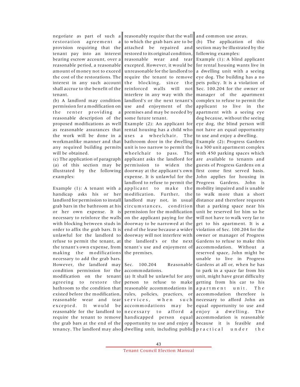negotiate as part of such a restoration agreement a provision requiring that the tenant pay into an interest bearing escrow account, over a reasonable period, a reasonable amount of money not to exceed the cost of the restorations. The interest in any such account shall accrue to the benefit of the tenant.

(b) A landlord may condition permission for a modification on the renter providing a reasonable description of the proposed modifications as well as reasonable assurances that the work will be done in a workmanlike manner and that any required building permits will be obtained. (c) The application of paragraph

(a) of this section may be illustrated by the following examples:

Example (1): A tenant with a handicap asks his or her landlord for permission to install grab bars in the bathroom at his or her own expense. It is necessary to reinforce the walls with blocking between studs in order to affix the grab bars. It is unlawful for the landlord to refuse to permit the tenant, at the tenant's own expense, from making the modifications necessary to add the grab bars. However, the landlord may condition permission for the modification on the tenant agreeing to restore the bathroom to the condition that existed before the modification, reasonable wear and tear excepted. It would be reasonable for the landlord to require the tenant to remove

reasonably require that the wall and common use areas.

to which the grab bars are to be (b) The application of this attached be repaired and section may be illustrated by the restored to its original condition, following examples: reasonable wear and tear Example (1): A blind applicant excepted. However, it would be for rental housing wants live in unreasonable for the landlord to a dwelling unit with a seeing require the tenant to remove eye dog. The building has a no the blocking, since the pets policy. It is a violation of reinforced walls will not Sec. 100.204 for the owner or interfere in any way with the manager of the apartment landlord's or the next tenant's complex to refuse to permit the use and enjoyment of the applicant to live in the premises and may be needed by apartment with a seeing eye some future tenant.

Example (2): An applicant for eye dog, the blind person will rental housing has a child who $\parallel$  not have an equal opportunity uses a wheelchair. bathroom door in the dwelling Example (2): Progress Gardens unit is too narrow to permit the is a 300 unit apartment complex wheelchair to pass. The with 450 parking spaces which applicant asks the landlord for are available to tenants and permission to widen the guests of Progress Gardens on a doorway at the applicant's own first come first served basis. expense. It is unlawful for the John applies for housing in landlord to refuse to permit the Progress Gardens. John is applicant to make the mobility impaired and is unable modification. Further, the to walk more than a short landlord may not, in usual distance and therefore requests circumstances, condition that a parking space near his permission for the modification|| unit be reserved for him so he on the applicant paying for the will not have to walk very far to doorway to be narrowed at the get to his apartment. It is a end of the lease because a wider violation of Sec. 100.204 for the doorway will not interfere with owner or manager of Progress the landlord's or the next Gardens to refuse to make this tenant's use and enjoyment of accommodation. Without a the premises.

Sec. 100.204 accommodations.

the grab bars at the end of the opportunity to use and enjoy a because it is feasible and tenancy. The landlord may also∥ dwelling unit, including public∥practical under the (a) It shall be unlawful for any unit, might have great difficulty person to refuse to make getting from his car to his reasonable accommodations in apartment unit. The rules, policies, practices, or accommodation therefore is services, when accommodations may be equal opportunity to use and necessary to afford a∥enjoy a dwelling. The handicapped person equal accommodation is reasonable

dog because, without the seeing The to use and enjoy a dwelling.

reserved space, John might be unable to live in Progress Reasonable Gardens at all or, when he has to park in a space far from his such necessary to afford John an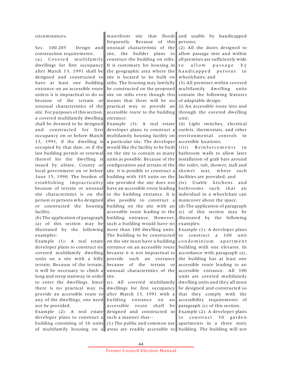circumstances.

Sec.  $100.205$ construction requirements. (a) Covered multifamily dwellings for first occupancy It is customary for housing in after March 13, 1991 shall be the geographic area where the designed and constructed to site is located to be built on have at least one building stilts. The housing may lawfully entrance on an accessible route be constructed on the proposed unless it is impractical to do so site on stilts even though this because of the terrain or unusual characteristics of the site. For purposes of this section, a covered multifamily dwelling shall be deemed to be designed and constructed for first occupancy on or before March multifamily housing facility on 13, 1991, if the dwelling is occupied by that date, or if the last building permit or renewal on the site to contain as many thereof for the dwelling is units as possible. Because of the issued by aState, County or local government on or before site, it is possible to construct a June 15, 1990. The burden of building with 105 units on the establishing impracticality site provided the site does not because of terrain or unusual site characteristics is on the to the building entrance. It is person or persons who designed also possible to construct a or constructed the housing facility.

(b) The application of paragraph (a) of this section may be such a building would have no illustrated by the following examples:

Example (1): A real estate developer plans to construct six covered multifamily dwelling units on a site with a hilly terrain. Because of the terrain, it will be necessary to climb a long and steep stairway in order to enter the dwellings. Since (c) All covered multifamily there is no practical way to dwellings for first occupancy

provide an accessible route to any of the dwellings, one need not be provided.

developer plans to construct a

waterfront site that floods and usable by handicapped frequently. Because of this

Design and unusual characteristic of the site, the builder plans to construct the building on stilts. means that there will be no practical way to provide an accessible route to the building entrance.

Example (3): A real estate developer plans to construct a a particular site. The developer would like the facility to be built configuration and terrain of the have an accessible route leading building on the site with an accessible route leading to the building entrance. However, more than 100 dwelling units. The building to be constructed on the site must have a building entrance on an accessible route because it is not impractical to provide such an entrance because of the terrain or unusual characteristics of the site.

Example  $(2)$ : A real estate designed and constructed in after March 13, 1991 with a building entrance on an accessible route shall be such a manner that--

building consisting of 10 units (1) The public and common use apartments in a three story of multifamily housing on a an areas are readily accessible to building. The building will not

persons;

(2) All the doors designed to allow passage into and within all premises are sufficiently wide to allow passage by handicapped persons in wheelchairs; and

(3) All premises within covered multifamily dwelling units contain the following features of adaptable design:

(i) An accessible route into and through the covered dwelling unit;

(ii) Light switches, electrical outlets, thermostats, and other environmental controls in accessible locations;

(iii) Reinforcements in bathroom walls to allow later installation of grab bars around the toilet, tub, shower, stall and shower seat, where such facilities are provided; and

(iv) Usable kitchens and bathrooms such that an individual in a wheelchair can maneuver about the space.

(d) The application of paragraph (c) of this section may be illustrated by the following examples:

Example (1): A developer plans to construct a 100 unit condominium apartment building with one elevator. In accordance with paragraph (a), the building has at least one accessible route leading to an accessible entrance. All 100 units are covered multifamily dwelling units and they all must be designed and constructed so that they comply with the accessibility requirements of paragraph (c) of this section.

Example (2): A developer plans to construct 30 garden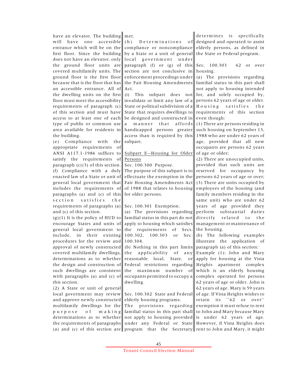| have an elevator. The building met.                                                                |                                                                                                          | determines is<br>specifically                                  |
|----------------------------------------------------------------------------------------------------|----------------------------------------------------------------------------------------------------------|----------------------------------------------------------------|
| have<br>one<br>$accessible$ (h)<br>will                                                            | Determinations                                                                                           | of designed and operated to assist                             |
|                                                                                                    | entrance which will be on the compliance or noncompliance elderly persons, as defined in                 |                                                                |
|                                                                                                    | first floor. Since the building by a State or a unit of general the State or Federal program.            |                                                                |
| does not have an elevator, only local government                                                   | under                                                                                                    |                                                                |
|                                                                                                    | the ground floor units are paragraph (f) or (g) of this Sec. 100.303                                     | 62<br>or<br>over                                               |
|                                                                                                    | covered multifamily units. The section are not conclusive in housing.                                    |                                                                |
|                                                                                                    | ground floor is the first floor enforcement proceedings under $\parallel$ (a) The provisions regarding   |                                                                |
|                                                                                                    | because that is the floor that has the Fair Housing Amendments $\int$ familial status in this part shall |                                                                |
| an accessible entrance. All of Act.                                                                |                                                                                                          | not apply to housing intended                                  |
| the dwelling units on the first $(i)$ This                                                         |                                                                                                          | subpart does not for, and solely occupied by,                  |
|                                                                                                    | floor must meet the accessibility invalidate or limit any law of a persons 62 years of age or older.     |                                                                |
|                                                                                                    | requirements of paragraph $(c)$ State or political subdivision of a H o using satisfies                  | t h e                                                          |
|                                                                                                    | of this section and must have State that requires dwellings to requirements of this section              |                                                                |
|                                                                                                    | access to at least one of each be designed and constructed in even though:                               |                                                                |
| type of public or common use $a$ manner that                                                       |                                                                                                          | affords $\ $ (1) There are persons residing in                 |
|                                                                                                    | area available for residents in handicapped persons greater such housing on September 13,                | access than is required by this 1988 who are under 62 years of |
| the building.<br>with                                                                              | the subpart.                                                                                             | age, provided that all new                                     |
| Compliance<br>(e)<br>of<br>appropriate requirements                                                |                                                                                                          | occupants are persons 62 years                                 |
|                                                                                                    | ANSI A117.1-1986 suffices to Subpart E--Housing for Older                                                | of age or older;                                               |
| satisfy the requirements                                                                           | of Persons                                                                                               | (2) There are unoccupied units,                                |
| paragraph $(c)(3)$ of this section. Sec. 100.300 Purpose.                                          |                                                                                                          | provided that such units are                                   |
|                                                                                                    | (f) Compliance with a duly The purpose of this subpart is to                                             | reserved for occupancy by                                      |
|                                                                                                    | enacted law of a State or unit of effectuate the exemption in the                                        | persons 62 years of age or over;                               |
|                                                                                                    | general local government that Fair Housing Amendments Act                                                | (3) There are units occupied by                                |
|                                                                                                    | includes the requirements of of 1988 that relates to housing                                             | employees of the housing (and                                  |
| paragraphs (a) and (c) of this for older persons.                                                  |                                                                                                          | family members residing in the                                 |
| satisfies<br>th e<br>section                                                                       |                                                                                                          | same unit) who are under 62                                    |
| requirements of paragraphs (a) Sec. $100.301$ Exemption.                                           |                                                                                                          | years of age provided they                                     |
| and (c) of this section.                                                                           |                                                                                                          | (a) The provisions regarding perform substantial duties        |
|                                                                                                    | $(g)(1)$ It is the policy of HUD to familial status in this part do not directly related                 | $\mathbf{t}$<br>th e                                           |
|                                                                                                    | encourage States and units of apply to housing which satisfies management or maintenance of              |                                                                |
| general local government to the requirements                                                       | of<br>Secs.                                                                                              | the housing.                                                   |
| their<br>in<br>include,                                                                            | existing $100.302$ ,<br>100.303<br>or                                                                    | Sec. (b) The following examples                                |
| procedures for the review and 100.304.                                                             |                                                                                                          | illustrate the<br>application of                               |
|                                                                                                    | approval of newly constructed (b) Nothing in this part limits paragraph (a) of this section:             |                                                                |
| covered multifamily dwellings, the applicability<br>determinations as to whether reasonable local, |                                                                                                          | of any Example (1): John and Mary                              |
|                                                                                                    | State,<br>the design and construction of Federal restrictions regarding Heights apartment complex        | or apply for housing at the Vista                              |
| such dwellings are consistent the maximum                                                          | number                                                                                                   | of which is an elderly housing                                 |
|                                                                                                    | with paragraphs (a) and (c) of occupants permitted to occupy a                                           | complex operated for persons                                   |
| this section.                                                                                      | dwelling.                                                                                                | 62 years of age or older. John is                              |
| (2) A State or unit of general                                                                     |                                                                                                          | 62 years of age. Mary is 59 years                              |
|                                                                                                    | local government may review Sec. 100.302 State and Federal                                               | of age. If Vista Heights wishes to                             |
| and approve newly constructed elderly housing programs.                                            |                                                                                                          | retain its "62 or over"                                        |
| multifamily dwellings for the The provisions                                                       |                                                                                                          | regarding exemption it must refuse to rent                     |
| purpose<br>o f                                                                                     | m a k i n g  familial status in this part shall to John and Mary because Mary                            |                                                                |
|                                                                                                    | determinations as to whether not apply to housing provided is under $62$ years of age.                   |                                                                |
|                                                                                                    | the requirements of paragraphs under any Federal or State However, if Vista Heights does                 |                                                                |
|                                                                                                    | (a) and (c) of this section are program that the Secretary rent to John and Mary, it might               |                                                                |
|                                                                                                    |                                                                                                          |                                                                |
| 45                                                                                                 |                                                                                                          |                                                                |

Tenant Council Election Manual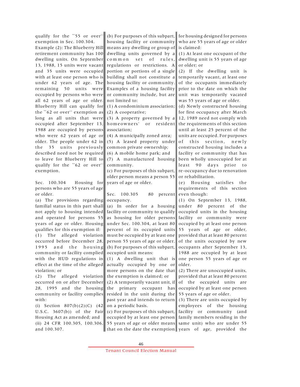qualify for the ``55 or over'' (b) For purposes of this subpart, for housing designed for persons exemption in Sec. 100.304. Example (2): The Blueberry Hill means any dwelling or group of retirement community has 100 dwelling units governed by a dwelling units. On September 13, 1988, 15 units were vacant regulations or restrictions. A and 35 units were occupied portion or portions of a single with at least one person who is under 62 years of age. The remaining 50 units were Examples of a housing facility occupied by persons who were or community include, but are all 62 years of age or older. Blueberry Hill can qualify for (1) A condominium association; the ``62 or over'' exemption as (2) A cooperative; long as all units that were (3) A property governed by a occupied after September 13, 1988 are occupied by persons association; who were 62 years of age or (4) A municipally zoned area; older. The people under 62 in (5) A leased property under the 35 units previously common private ownership; described need not be required (6) A mobile home park; and to leave for Blueberry Hill to (7) A manufactured housing qualify for the ``62 or over'' exemption. Sec. 100.304 Housing for persons who are 55 years of age or older. (a) The provisions regarding familial status in this part shall not apply to housing intended and operated for persons 55 years of age or older. Housing qualifies for this exemption if: (1) The alleged violation occurred before December 28, 1995 and the housing community or facility complied with the HUD regulations in effect at the time of the alleged violation; or (2) The alleged violation occurred on or after December 28, 1995 and the housing community or facility complies with: (i) Section  $807(b)(2)(C)$  (42 U.S.C. 3607(b)) of the Fair Housing Act as amended; and (ii) 24 CFR 100.305, 100.306, 55 years of age or older means same unit) who are under 55 and 100.307. housing facility or community common set of rules, building shall not constitute a housing facility or community. not limited to: homeowners' or resident community. (c) For purposes of this subpart, older person means a person 55 years of age or older. Sec. 100.305 80 percent occupancy. (a) In order for a housing facility or community to qualify as housing for older persons under Sec. 100.304, at least 80 percent of its occupied units must be occupied by at least one person 55 years of age or older. (b) For purposes of this subpart, occupied unit means: (1) A dwelling unit that is actually occupied by one or more persons on the date that the exemption is claimed; or (2) A temporarily vacant unit, if the primary occupant has resided in the unit during the past year and intends to return on a periodic basis. (c) For purposes of this subpart, occupied by at least one person that on the date the exemption years of age, provided the who are 55 years of age or older is claimed: (1) At least one occupant of the dwelling unit is 55 years of age or older; or (2) If the dwelling unit is temporarily vacant, at least one of the occupants immediately prior to the date on which the unit was temporarily vacated was 55 years of age or older. (d) Newly constructed housing for first occupancy after March 12, 1989 need not comply with the requirements of this section until at least 25 percent of the units are occupied. For purposes of this section, newly constructed housing includes a facility or community that has been wholly unoccupied for at least 90 days prior to re-occupancy due to renovation or rehabilitation. (e) Housing satisfies the requirements of this section even though: (1) On September 13, 1988, under 80 percent of the occupied units in the housing facility or community were occupied by at least one person 55 years of age or older, provided that at least 80 percent of the units occupied by new occupants after September 13, 1988 are occupied by at least one person 55 years of age or older. (2) There are unoccupied units, provided that at least 80 percent of the occupied units are occupied by at least one person 55 years of age or older. (3) There are units occupied by employees of the housing facility or community (and family members residing in the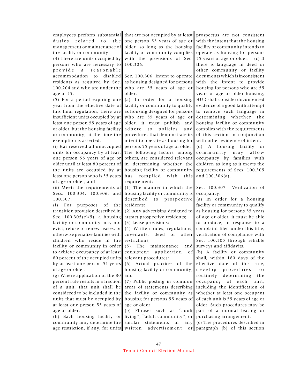| t o<br>duties<br>related<br>the facility or community.<br>persons who are necessary to 100.306.<br>reasonable<br>provide<br>a<br>accommodation<br>to     | employees perform substantial that are not occupied by at least prospectus are not consistent<br>the one person 55 years of age or<br>management or maintenance of older, so long as the housing<br>facility or community complies<br>(4) There are units occupied by with the provisions of Sec.<br>disabled Sec. 100.306 Intent to operate                 | with the intent that the housing<br>facility or community intends to<br>operate as housing for persons<br>55 years of age or older. (c) If<br>there is language in deed or<br>other community or facility<br>documents which is inconsistent |
|----------------------------------------------------------------------------------------------------------------------------------------------------------|--------------------------------------------------------------------------------------------------------------------------------------------------------------------------------------------------------------------------------------------------------------------------------------------------------------------------------------------------------------|----------------------------------------------------------------------------------------------------------------------------------------------------------------------------------------------------------------------------------------------|
| age of 55.                                                                                                                                               | residents as required by Sec. as housing designed for persons<br>100.204 and who are under the who are $55$ years of age or<br>older.<br>(5) For a period expiring one $\parallel$ (a) In order for a housing $\parallel$ HUD shall consider documented<br>year from the effective date of facility or community to qualify evidence of a good faith attempt | with the intent to provide<br>housing for persons who are 55<br>years of age or older housing,                                                                                                                                               |
| or older, but the housing facility $\ \phi\ $ adhere to                                                                                                  | this final regulation, there are as housing designed for persons to remove such language in<br>insufficient units occupied by at who are 55 years of age or determining whether the<br>least one person 55 years of age older, it must publish and housing facility or community<br>policies                                                                 | and complies with the requirements                                                                                                                                                                                                           |
| exemption is asserted:                                                                                                                                   | or community, at the time the procedures that demonstrate its of this section in conjunction<br>intent to operate as housing for with other evidence of intent.<br>(i) Has reserved all unoccupied persons 55 years of age or older. $\parallel$ (d) A housing<br>units for occupancy by at least The following factors, among $\cos$ community              | facility<br>or<br>m a y<br>allow                                                                                                                                                                                                             |
| least one person who is 55 years has<br>of age or older; and                                                                                             | one person 55 years of age or others, are considered relevant occupancy by families with<br>older until at least 80 percent of in determining whether the children as long as it meets the<br>the units are occupied by at housing facility or community requirements of Secs. 100.305<br>complied<br>with<br>this<br>requirement:                           | and $100.306(a)$ .                                                                                                                                                                                                                           |
| 100.307.                                                                                                                                                 | (ii) Meets the requirements of $(1)$ The manner in which the $\left\ $ Sec. 100.307<br>Secs. 100.304, 100.306, and housing facility or community is ccupancy.<br>prospective<br>described<br>to                                                                                                                                                              | Verification of<br>(a) In order for a housing                                                                                                                                                                                                |
| For<br>οf<br>(1)<br>purposes<br>Sec. $100.305(e)(5)$ , a housing attract prospective residents;<br>facility or community may not $(3)$ Lease provisions; | the residents;<br>transition provision described in $\parallel$ (2) Any advertising designed to                                                                                                                                                                                                                                                              | facility or community to qualify<br>as housing for persons 55 years<br>of age or older, it must be able<br>to produce, in response to a                                                                                                      |
| otherwise penalize families with covenants,<br>children who reside in the restrictions:<br>facility or community in order $(5)$                          | evict, refuse to renew leases, or $(4)$ Written rules, regulations,<br>deed<br>other<br>or<br>The<br>maintenance                                                                                                                                                                                                                                             | complaint filed under this title,<br>verification of compliance with<br>Sec. 100.305 through reliable<br>and surveys and affidavits.                                                                                                         |
| to achieve occupancy of at least consistent<br>80 percent of the occupied units relevant procedures;<br>of age or older.                                 | application<br>by at least one person 55 years $(6)$ Actual practices of the<br>housing facility or community;                                                                                                                                                                                                                                               | of (b) A facility or community<br>shall, within 180 days of the<br>effective date of this rule,<br>develop<br>procedures<br>for                                                                                                              |
| (g) Where application of the 80                                                                                                                          | and<br>percent rule results in a fraction (7) Public posting in common<br>of a unit, that unit shall be areas of statements describing<br>considered to be included in the the facility or community as                                                                                                                                                      | routinely<br>determining<br>the<br>occupancy<br>of<br>each<br>unit,<br>including the identification of<br>whether at least one occupant                                                                                                      |
| at least one person 55 years of age or older.<br>age or older.                                                                                           | units that must be occupied by housing for persons 55 years of<br>(h) Each housing facility or living", "adult community", or purchasing arrangement.                                                                                                                                                                                                        | of each unit is 55 years of age or<br>older. Such procedures may be<br>(b) Phrases such as "adult part of a normal leasing or                                                                                                                |
| community may determine the similar                                                                                                                      | statements<br>in                                                                                                                                                                                                                                                                                                                                             | any $(c)$ The procedures described in                                                                                                                                                                                                        |

 $\overline{\phantom{0}}$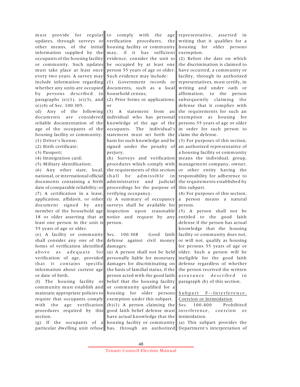updates, through surveys or verification procedures, the other means, of the initial housing facility or community information supplied by the may, if it has sufficient occupants of the housing facility evidence, consider the unit to or community. Such updates be occupied by at least one must take place at least once|| person 55 years of age or older. every two years. A survey may Such evidence may include: include information regarding whether any units are occupied by persons described in household census; paragraphs (e)(1), (e)(3), and (2) Prior forms or applications; (e)(4) of Sec. 100.305.

documents are considered individual who has personal reliable documentation of the knowledge of the age of the age of the occupants of the housing facility or community: (1) Driver's license;

- (2) Birth certificate;
- (3) Passport;

(4) Immigration card;

(5) Military identification;

(6) Any other state, local, national, or international official date of comparable reliability; or (7) A certification in a lease, 18 or older asserting that at least one person in the unit is person. 55 years of age or older.

(e) A facility or community Sec. 100.308 Good faith shall consider any one of the defense against civil money forms of verification identified damages. above as adequate for verification of age, provided that it contains specific information about current age $\|$  the basis of familial status, if the or date of birth.

(f) The housing facility or community must establish and or community qualified for a require that occupants comply exemption under this subpart. with the age verification (b)(1) A person claiming the section.

(g) If the occupants of a housing facility or community particular dwelling unit refuse has, through an authorized Department's interpretation of

must provide for regular||to comply with the age||representative, asserted in (1) Government records or documents, such as a local

or

(d) Any of the following (3) A statement from an occupants. The individual's statement must set forth the basis for such knowledge and be signed under the penalty of perjury.

documents containing a birth|| administrative and judicial (h) Surveys and verification procedures which comply with the requirements of this section shall be admissible in proceedings for the purpose of verifying occupancy.

application, affidavit, or other (i) A summary of occupancy document signed by any surveys shall be available for member of the household age inspection upon reasonable notice and request by any

maintain appropriate policies to housing for older persons Subpart F--Interference, procedures required by this good faith belief defense must interference, coercion or (a) A person shall not be held personally liable for monetary damages for discriminating on person acted with the good faith belief that the housing facility have actual knowledge that the intimidation.

writing that it qualifies for a housing for older persons exemption.

(2) Before the date on which the discrimination is claimed to have occurred, a community or facility, through its authorized representatives, must certify, in writing and under oath or affirmation, to the person subsequently claiming the defense that it complies with the requirements for such an exemption as housing for persons 55 years of age or older in order for such person to claim the defense.

(3) For purposes of this section, an authorized representative of a housing facility or community means the individual, group, management company, owner, or other entity having the responsibility for adherence to the requirements established by this subpart.

(4) For purposes of this section, a person means a natural person.

(5) A person shall not be entitled to the good faith defense if the person has actual knowledge that the housing facility or community does not, or will not, qualify as housing for persons 55 years of age or older. Such a person will be ineligible for the good faith defense regardless of whether the person received the written assurance described in paragraph (b) of this section.

Coercion or Intimidation

Sec. 100.400 Prohibited

(a) This subpart provides the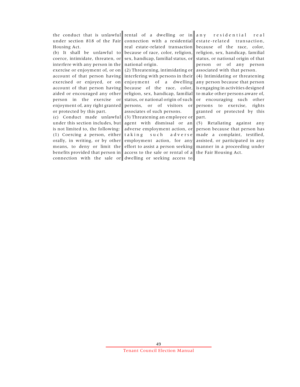the conduct that is unlawful rental of a dwelling or in any residential real under section 818 of the Fair Housing Act.

(b) It shall be unlawful to coerce, intimidate, threaten, or interfere with any person in the exercise or enjoyment of, or on account of that person having exercised or enjoyed, or on account of that person having aided or encouraged any other person in the exercise or enjoyment of, any right granted or protected by this part.

(c) Conduct made unlawful under this section includes, but is not limited to, the following: (1) Coercing a person, either orally, in writing, or by other means, to deny or limit the

connection with a residential estate-related transaction, real estate-related transaction because of the race, color, because of race, color, religion,|| religion, sex, handicap, familial sex, handicap, familial status, or $\|$  status, or national origin of that national origin.

(2) Threatening, intimidating or associated with that person. interfering with persons in their (4) Intimidating or threatening enjoyment of a dwelling any person because that person because of the race, color, is engaging in activities designed religion, sex, handicap, familial to make other persons aware of, status, or national origin of such nor encouraging such other persons, or of visitors or persons to exercise, rights associates of such persons.

benefits provided that person in  $\parallel$  access to the sale or rental of a $\parallel$  the Fair Housing Act. connection with the sale or dwelling or seeking access to (3) Threatening an employee or part. agent with dismissal or an (5) Retaliating against any adverse employment action, or person because that person has taking such employment action, for any assisted, or participated in any effort to assist a person seeking manner in a proceeding under

person or of any person

granted or protected by this

adverse made a complaint, testified,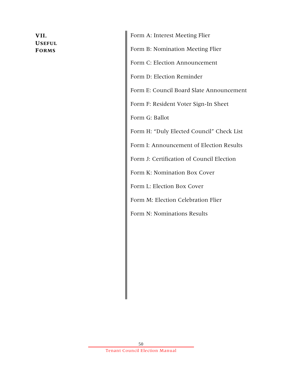**VII. USEFUL FORMS**

Form A: Interest Meeting Flier Form B: Nomination Meeting Flier Form C: Election Announcement Form D: Election Reminder Form E: Council Board Slate Announcement Form F: Resident Voter Sign-In Sheet Form G: Ballot Form H: "Duly Elected Council" Check List Form I: Announcement of Election Results Form J: Certification of Council Election Form K: Nomination Box Cover Form L: Election Box Cover Form M: Election Celebration Flier Form N: Nominations Results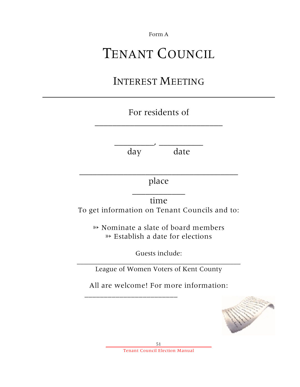Form A

# TENANT COUNCIL

## INTEREST MEETING

| For residents of |  |
|------------------|--|
|                  |  |

\_\_\_\_\_\_\_\_\_\_\_\_\_\_\_\_\_\_\_\_\_\_\_\_\_\_\_\_\_

\_\_\_\_\_\_\_\_\_, \_\_\_\_\_\_\_\_\_\_ day date

\_\_\_\_\_\_\_\_\_\_\_\_\_\_\_\_\_\_\_\_\_\_\_\_\_\_\_\_\_\_\_\_\_\_\_\_ place

\_\_\_\_\_\_\_\_\_\_\_\_

time

To get information on Tenant Councils and to:

¼ Nominate a slate of board members <sup>₩</sup> Establish a date for elections

Guests include:

\_\_\_\_\_\_\_\_\_\_\_\_\_\_\_\_\_\_\_\_\_\_\_\_\_\_\_\_\_\_\_\_\_\_\_\_\_\_\_\_\_\_\_\_\_\_\_\_ League of Women Voters of Kent County

All are welcome! For more information:

\_\_\_\_\_\_\_\_\_\_\_\_\_\_\_\_\_\_\_\_\_\_\_\_

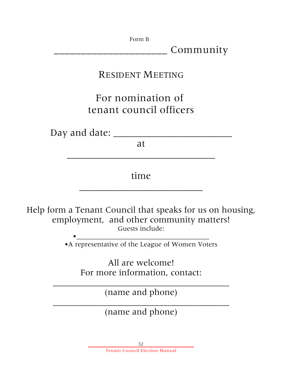| Form B                  |  |  |
|-------------------------|--|--|
| Community               |  |  |
|                         |  |  |
| <b>RESIDENT MEETING</b> |  |  |
| For nomination of       |  |  |
|                         |  |  |
| tenant council officers |  |  |
| Day and date:           |  |  |
| at                      |  |  |
|                         |  |  |
|                         |  |  |
| time                    |  |  |
|                         |  |  |
|                         |  |  |

Help form a Tenant Council that speaks for us on housing, employment, and other community matters! Guests include:

> •\_\_\_\_\_\_\_\_\_\_\_\_\_\_\_\_\_\_\_\_\_\_\_\_\_\_\_\_\_\_\_\_\_\_\_\_\_\_\_ •A representative of the League of Women Voters

> > All are welcome! For more information, contact:

> > > (name and phone)

\_\_\_\_\_\_\_\_\_\_\_\_\_\_\_\_\_\_\_\_\_\_\_\_\_\_\_\_\_\_\_\_\_\_\_\_\_\_\_\_

\_\_\_\_\_\_\_\_\_\_\_\_\_\_\_\_\_\_\_\_\_\_\_\_\_\_\_\_\_\_\_\_\_\_\_\_\_\_\_\_

(name and phone)

52

Tenant Council Election Manual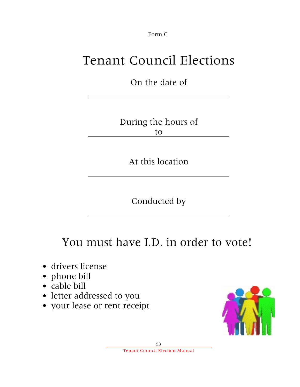Form C

# Tenant Council Elections

On the date of

During the hours of to

At this location

Conducted by

# You must have I.D. in order to vote!

- drivers license
- phone bill
- cable bill
- letter addressed to you
- your lease or rent receipt

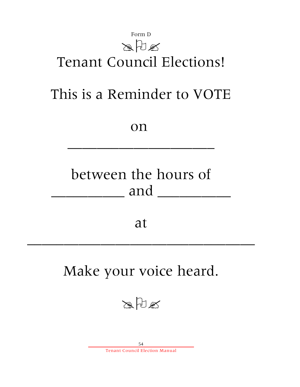

# Make your voice heard.



54 Tenant Council Election Manual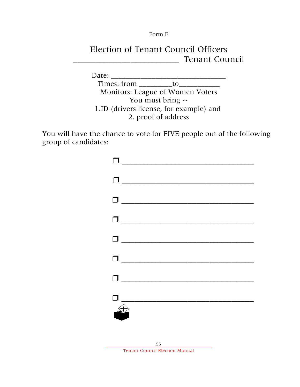Form E

## Election of Tenant Council Officers \_\_\_\_\_\_\_\_\_\_\_\_\_\_\_\_\_\_\_\_\_\_\_\_ Tenant Council

Date: \_\_\_\_\_\_\_\_\_\_\_\_\_\_\_\_\_\_\_\_\_\_\_\_\_\_\_\_\_\_\_ Times: from \_\_\_\_\_\_\_\_\_to\_\_\_\_\_\_\_\_\_\_\_ Monitors: League of Women Voters You must bring -- 1.ID (drivers license, for example) and 2. proof of address

You will have the chance to vote for FIVE people out of the following group of candidates:



Tenant Council Election Manual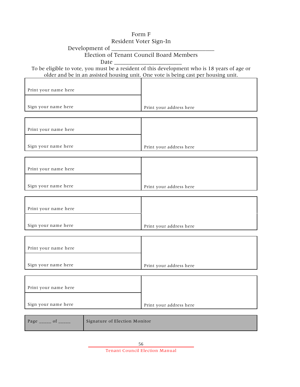### Form F Resident Voter Sign-In Development of \_

### Election of Tenant Council Board Members

Date  $\overline{\phantom{a}}$ 

To be eligible to vote, you must be a resident of this development who is 18 years of age or older and be in an assisted housing unit. One vote is being cast per housing unit.

| Print your name here                                                                                        |                         |
|-------------------------------------------------------------------------------------------------------------|-------------------------|
| Sign your name here                                                                                         | Print your address here |
|                                                                                                             |                         |
| Print your name here                                                                                        |                         |
|                                                                                                             |                         |
| Sign your name here                                                                                         | Print your address here |
|                                                                                                             |                         |
| Print your name here                                                                                        |                         |
|                                                                                                             |                         |
| Sign your name here                                                                                         | Print your address here |
|                                                                                                             |                         |
| Print your name here                                                                                        |                         |
| Sign your name here                                                                                         | Print your address here |
|                                                                                                             |                         |
| Print your name here                                                                                        |                         |
|                                                                                                             |                         |
| Sign your name here                                                                                         | Print your address here |
|                                                                                                             |                         |
| Print your name here                                                                                        |                         |
|                                                                                                             |                         |
| Sign your name here                                                                                         | Print your address here |
|                                                                                                             |                         |
| Page $\frac{ }{ }$ $\frac{ }{ }$ $\frac{ }{ }$ $\frac{ }{ }$ $\frac{ }{ }$<br>Signature of Election Monitor |                         |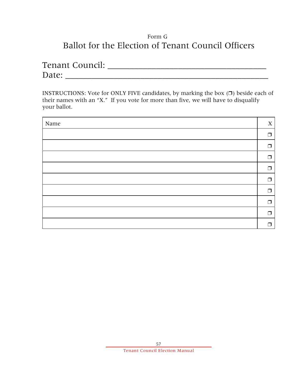### Form G Ballot for the Election of Tenant Council Officers

Tenant Council: \_\_\_\_\_\_\_\_\_\_\_\_\_\_\_\_\_\_\_\_\_\_\_\_\_\_\_\_\_\_\_\_\_\_\_\_ Date:

INSTRUCTIONS: Vote for ONLY FIVE candidates, by marking the box  $(\Box)$  beside each of their names with an "X." If you vote for more than five, we will have to disqualify your ballot.

| Name | X      |
|------|--------|
|      | $\Box$ |
|      | ▢      |
|      | ⊓      |
|      | $\Box$ |
|      | σ      |
|      | ⊓      |
|      | $\Box$ |
|      | ⊓      |
|      | ⊓      |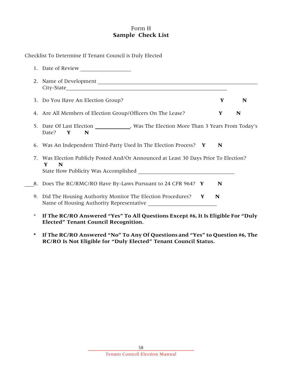### Form H **Sample Check List**

Checklist To Determine If Tenant Council is Duly Elected

|         | 3. Do You Have An Election Group?                                                                                               | Y<br>N |  |
|---------|---------------------------------------------------------------------------------------------------------------------------------|--------|--|
|         | 4. Are All Members of Election Group/Officers On The Lease?<br>Y                                                                | N      |  |
|         | 5. Date Of Last Election ______________, Was The Election More Than 3 Years From Today's<br>Date?<br>$\mathbf{Y}$<br>N          |        |  |
|         | 6. Was An Independent Third-Party Used In The Election Process? Y<br>N                                                          |        |  |
|         | 7. Was Election Publicly Posted And/Or Announced at Least 30 Days Prior To Election?<br>Y<br>N                                  |        |  |
|         | 8. Does The RC/RMC/RO Have By-Laws Pursuant to 24 CFR 964? Y<br>N                                                               |        |  |
|         | 9. Did The Housing Authority Monitor The Election Procedures? $\mathbf{Y}$<br>N                                                 |        |  |
| $\star$ | If The RC/RO Answered "Yes" To All Questions Except #6, It Is Eligible For "Duly<br><b>Elected" Tenant Council Recognition.</b> |        |  |

**\* If The RC/RO Answered "No" To Any Of Questions and "Yes" to Question #6, The RC/RO Is Not Eligible for "Duly Elected" Tenant Council Status.**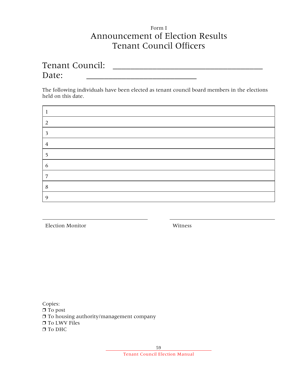### Form I Announcement of Election Results Tenant Council Officers

## Tenant Council: \_\_\_\_\_\_\_\_\_\_\_\_\_\_\_\_\_\_\_\_\_\_\_\_\_\_\_\_\_\_\_\_\_\_ Date:

The following individuals have been elected as tenant council board members in the elections held on this date.

| ำ |  |
|---|--|
| 3 |  |
| 4 |  |
| 5 |  |
| 6 |  |
| ⇁ |  |
| 8 |  |
| Q |  |

Election Monitor Witness

Copies: □ To post To housing authority/management company □ To LWV Files To DHC

59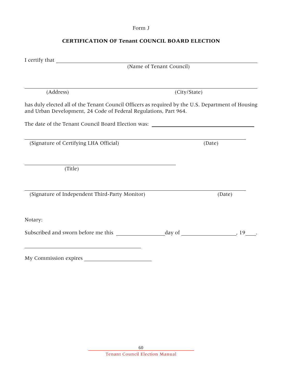Form J

### **CERTIFICATION OF Tenant COUNCIL BOARD ELECTION**

| I certify that                                                                                                                                                        |              |  |
|-----------------------------------------------------------------------------------------------------------------------------------------------------------------------|--------------|--|
| (Name of Tenant Council)                                                                                                                                              |              |  |
|                                                                                                                                                                       |              |  |
| (Address)                                                                                                                                                             | (City/State) |  |
| has duly elected all of the Tenant Council Officers as required by the U.S. Department of Housing<br>and Urban Development, 24 Code of Federal Regulations, Part 964. |              |  |
| The date of the Tenant Council Board Election was: The date of the Tenant Council Board Election was:                                                                 |              |  |
| (Signature of Certifying LHA Official)                                                                                                                                | (Date)       |  |
| (Title)                                                                                                                                                               |              |  |
| (Signature of Independent Third-Party Monitor)                                                                                                                        | (Date)       |  |
| Notary:                                                                                                                                                               |              |  |
|                                                                                                                                                                       |              |  |
|                                                                                                                                                                       |              |  |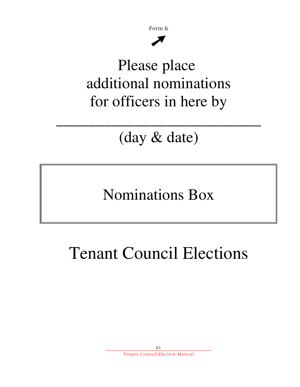

# ü

Please place additional nominations for officers in here by

(day & date)

 $\mathcal{L}_\text{max}$  and  $\mathcal{L}_\text{max}$  are the set of  $\mathcal{L}_\text{max}$  and  $\mathcal{L}_\text{max}$ 

Nominations Box

Tenant Council Elections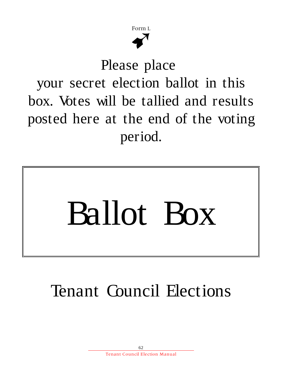

# $\blacklozenge$

Please place your secret election ballot in this box. Votes will be tallied and results posted here at the end of the voting period.



# Tenant Council Elections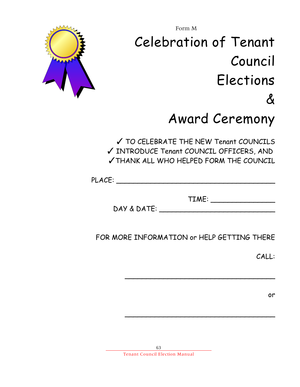

# Form M Celebration of Tenant Council Elections  $\boldsymbol{\delta}$ Award Ceremony

V TO CELEBRATE THE NEW Tenant COUNCILS ✔ INTRODUCE Tenant COUNCIL OFFICERS, AND TTHANK ALL WHO HELPED FORM THE COUNCIL

PLACE: \_\_\_\_\_\_\_\_\_\_\_\_\_\_\_\_\_\_\_\_\_\_\_\_\_\_\_\_\_\_\_\_\_\_\_\_\_

TIME: \_\_\_\_\_\_\_\_\_\_\_\_\_\_\_

DAY & DATE: \_\_\_\_\_\_\_\_\_\_\_\_\_\_\_\_\_\_\_\_\_\_\_\_\_\_\_

 $\sim$  . The contract of the contract of the contract of the contract of the contract of the contract of the contract of the contract of the contract of the contract of the contract of the contract of the contract of the co

 $\overline{\phantom{a}}$ 

FOR MORE INFORMATION or HELP GETTING THERE

CALL:

or